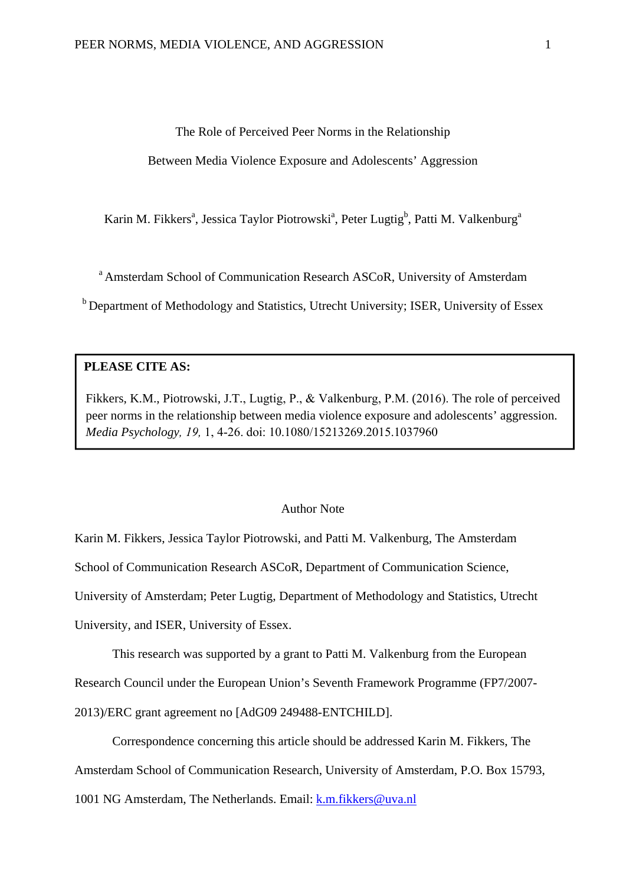The Role of Perceived Peer Norms in the Relationship

Between Media Violence Exposure and Adolescents' Aggression

Karin M. Fikkers<sup>a</sup>, Jessica Taylor Piotrowski<sup>a</sup>, Peter Lugtig<sup>b</sup>, Patti M. Valkenburg<sup>a</sup>

<sup>a</sup> Amsterdam School of Communication Research ASCoR, University of Amsterdam

<sup>b</sup> Department of Methodology and Statistics, Utrecht University; ISER, University of Essex

## **PLEASE CITE AS:**

Fikkers, K.M., Piotrowski, J.T., Lugtig, P., & Valkenburg, P.M. (2016). The role of perceived peer norms in the relationship between media violence exposure and adolescents' aggression. *Media Psychology, 19,* 1, 4-26. doi: 10.1080/15213269.2015.1037960

#### Author Note

Karin M. Fikkers, Jessica Taylor Piotrowski, and Patti M. Valkenburg, The Amsterdam School of Communication Research ASCoR, Department of Communication Science, University of Amsterdam; Peter Lugtig, Department of Methodology and Statistics, Utrecht University, and ISER, University of Essex.

This research was supported by a grant to Patti M. Valkenburg from the European Research Council under the European Union's Seventh Framework Programme (FP7/2007- 2013)/ERC grant agreement no [AdG09 249488-ENTCHILD].

Correspondence concerning this article should be addressed Karin M. Fikkers, The Amsterdam School of Communication Research, University of Amsterdam, P.O. Box 15793, 1001 NG Amsterdam, The Netherlands. Email: k.m.fikkers@uva.nl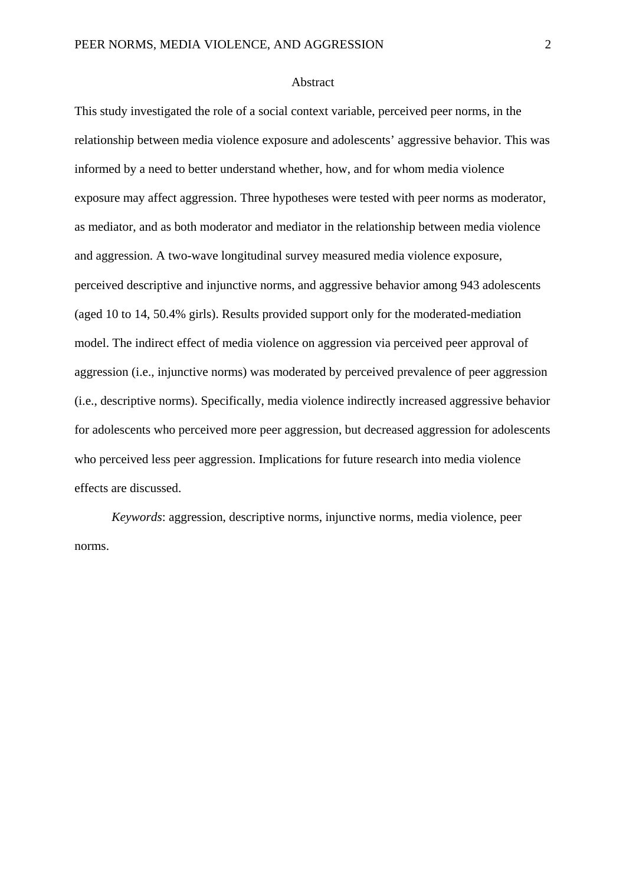### Abstract

This study investigated the role of a social context variable, perceived peer norms, in the relationship between media violence exposure and adolescents' aggressive behavior. This was informed by a need to better understand whether, how, and for whom media violence exposure may affect aggression. Three hypotheses were tested with peer norms as moderator, as mediator, and as both moderator and mediator in the relationship between media violence and aggression. A two-wave longitudinal survey measured media violence exposure, perceived descriptive and injunctive norms, and aggressive behavior among 943 adolescents (aged 10 to 14, 50.4% girls). Results provided support only for the moderated-mediation model. The indirect effect of media violence on aggression via perceived peer approval of aggression (i.e., injunctive norms) was moderated by perceived prevalence of peer aggression (i.e., descriptive norms). Specifically, media violence indirectly increased aggressive behavior for adolescents who perceived more peer aggression, but decreased aggression for adolescents who perceived less peer aggression. Implications for future research into media violence effects are discussed.

*Keywords*: aggression, descriptive norms, injunctive norms, media violence, peer norms.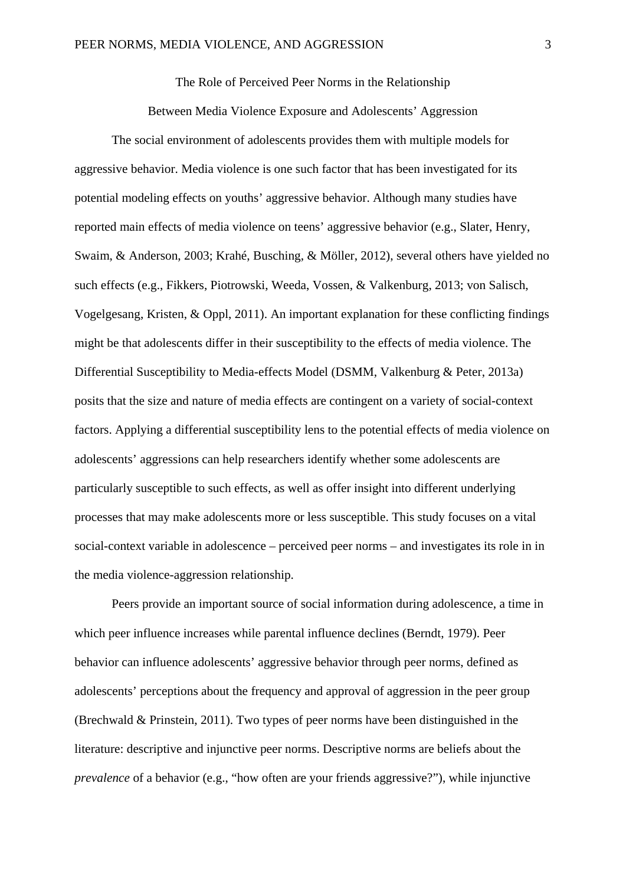The Role of Perceived Peer Norms in the Relationship

Between Media Violence Exposure and Adolescents' Aggression

The social environment of adolescents provides them with multiple models for aggressive behavior. Media violence is one such factor that has been investigated for its potential modeling effects on youths' aggressive behavior. Although many studies have reported main effects of media violence on teens' aggressive behavior (e.g., Slater, Henry, Swaim, & Anderson, 2003; Krahé, Busching, & Möller, 2012), several others have yielded no such effects (e.g., Fikkers, Piotrowski, Weeda, Vossen, & Valkenburg, 2013; von Salisch, Vogelgesang, Kristen, & Oppl, 2011). An important explanation for these conflicting findings might be that adolescents differ in their susceptibility to the effects of media violence. The Differential Susceptibility to Media-effects Model (DSMM, Valkenburg & Peter, 2013a) posits that the size and nature of media effects are contingent on a variety of social-context factors. Applying a differential susceptibility lens to the potential effects of media violence on adolescents' aggressions can help researchers identify whether some adolescents are particularly susceptible to such effects, as well as offer insight into different underlying processes that may make adolescents more or less susceptible. This study focuses on a vital social-context variable in adolescence – perceived peer norms – and investigates its role in in the media violence-aggression relationship.

Peers provide an important source of social information during adolescence, a time in which peer influence increases while parental influence declines (Berndt, 1979). Peer behavior can influence adolescents' aggressive behavior through peer norms, defined as adolescents' perceptions about the frequency and approval of aggression in the peer group (Brechwald & Prinstein, 2011). Two types of peer norms have been distinguished in the literature: descriptive and injunctive peer norms. Descriptive norms are beliefs about the *prevalence* of a behavior (e.g., "how often are your friends aggressive?"), while injunctive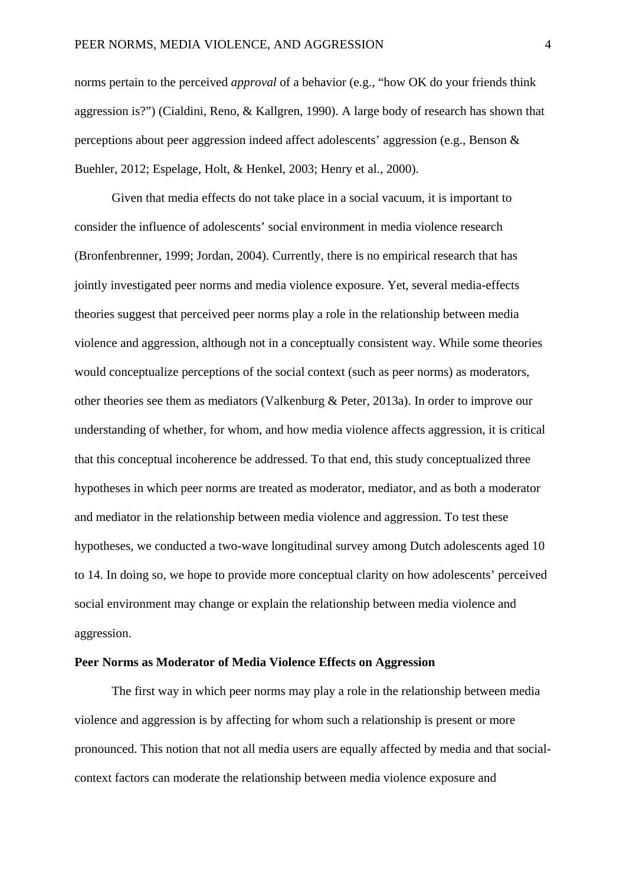norms pertain to the perceived *approval* of a behavior (e.g., "how OK do your friends think aggression is?") (Cialdini, Reno, & Kallgren, 1990). A large body of research has shown that perceptions about peer aggression indeed affect adolescents' aggression (e.g., Benson & Buehler, 2012; Espelage, Holt, & Henkel, 2003; Henry et al., 2000).

Given that media effects do not take place in a social vacuum, it is important to consider the influence of adolescents' social environment in media violence research (Bronfenbrenner, 1999; Jordan, 2004). Currently, there is no empirical research that has jointly investigated peer norms and media violence exposure. Yet, several media-effects theories suggest that perceived peer norms play a role in the relationship between media violence and aggression, although not in a conceptually consistent way. While some theories would conceptualize perceptions of the social context (such as peer norms) as moderators, other theories see them as mediators (Valkenburg & Peter, 2013a). In order to improve our understanding of whether, for whom, and how media violence affects aggression, it is critical that this conceptual incoherence be addressed. To that end, this study conceptualized three hypotheses in which peer norms are treated as moderator, mediator, and as both a moderator and mediator in the relationship between media violence and aggression. To test these hypotheses, we conducted a two-wave longitudinal survey among Dutch adolescents aged 10 to 14. In doing so, we hope to provide more conceptual clarity on how adolescents' perceived social environment may change or explain the relationship between media violence and aggression.

# **Peer Norms as Moderator of Media Violence Effects on Aggression**

 The first way in which peer norms may play a role in the relationship between media violence and aggression is by affecting for whom such a relationship is present or more pronounced. This notion that not all media users are equally affected by media and that socialcontext factors can moderate the relationship between media violence exposure and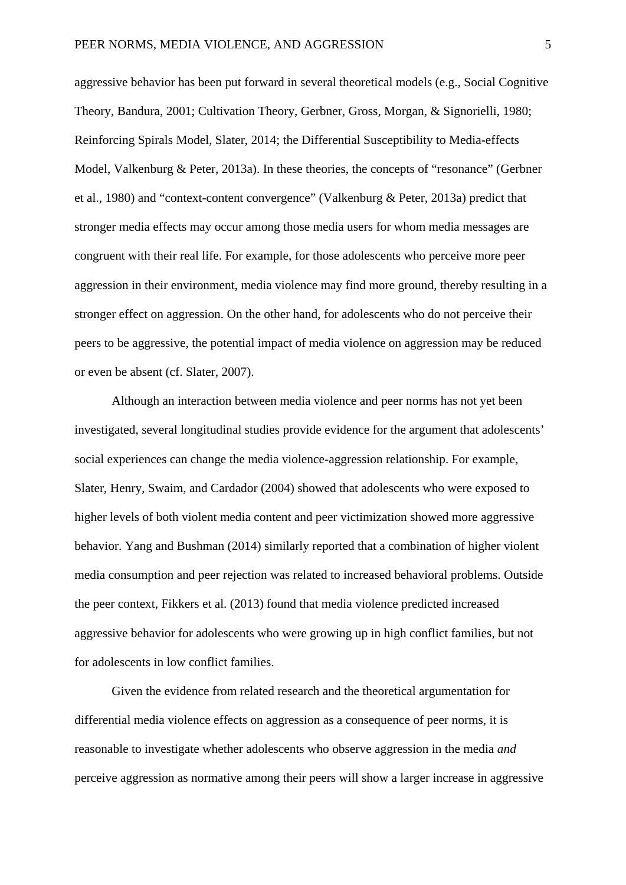aggressive behavior has been put forward in several theoretical models (e.g., Social Cognitive Theory, Bandura, 2001; Cultivation Theory, Gerbner, Gross, Morgan, & Signorielli, 1980; Reinforcing Spirals Model, Slater, 2014; the Differential Susceptibility to Media-effects Model, Valkenburg & Peter, 2013a). In these theories, the concepts of "resonance" (Gerbner et al., 1980) and "context-content convergence" (Valkenburg & Peter, 2013a) predict that stronger media effects may occur among those media users for whom media messages are congruent with their real life. For example, for those adolescents who perceive more peer aggression in their environment, media violence may find more ground, thereby resulting in a stronger effect on aggression. On the other hand, for adolescents who do not perceive their peers to be aggressive, the potential impact of media violence on aggression may be reduced or even be absent (cf. Slater, 2007).

Although an interaction between media violence and peer norms has not yet been investigated, several longitudinal studies provide evidence for the argument that adolescents' social experiences can change the media violence-aggression relationship. For example, Slater, Henry, Swaim, and Cardador (2004) showed that adolescents who were exposed to higher levels of both violent media content and peer victimization showed more aggressive behavior. Yang and Bushman (2014) similarly reported that a combination of higher violent media consumption and peer rejection was related to increased behavioral problems. Outside the peer context, Fikkers et al. (2013) found that media violence predicted increased aggressive behavior for adolescents who were growing up in high conflict families, but not for adolescents in low conflict families.

Given the evidence from related research and the theoretical argumentation for differential media violence effects on aggression as a consequence of peer norms, it is reasonable to investigate whether adolescents who observe aggression in the media *and* perceive aggression as normative among their peers will show a larger increase in aggressive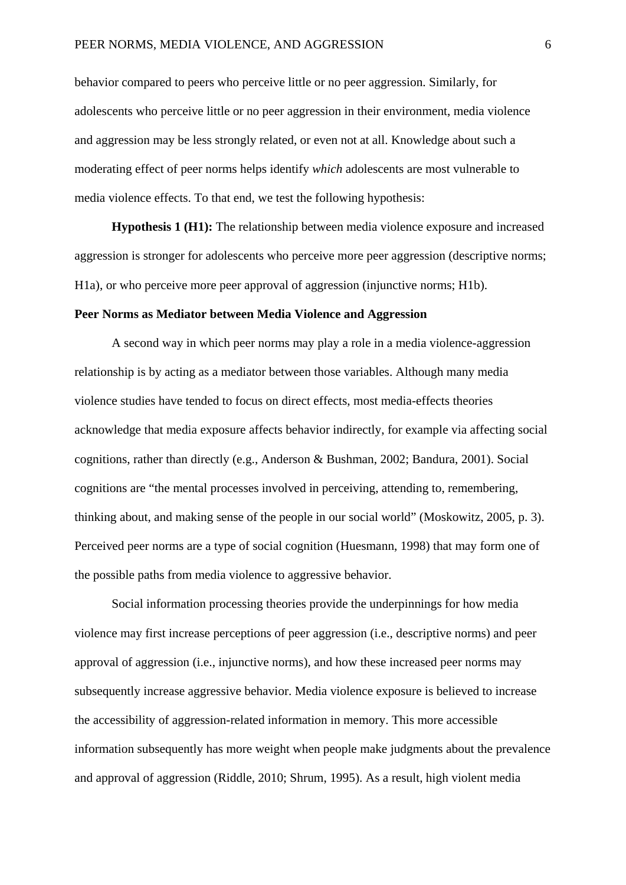behavior compared to peers who perceive little or no peer aggression. Similarly, for adolescents who perceive little or no peer aggression in their environment, media violence and aggression may be less strongly related, or even not at all. Knowledge about such a moderating effect of peer norms helps identify *which* adolescents are most vulnerable to media violence effects. To that end, we test the following hypothesis:

**Hypothesis 1 (H1):** The relationship between media violence exposure and increased aggression is stronger for adolescents who perceive more peer aggression (descriptive norms; H1a), or who perceive more peer approval of aggression (injunctive norms; H1b).

### **Peer Norms as Mediator between Media Violence and Aggression**

A second way in which peer norms may play a role in a media violence-aggression relationship is by acting as a mediator between those variables. Although many media violence studies have tended to focus on direct effects, most media-effects theories acknowledge that media exposure affects behavior indirectly, for example via affecting social cognitions, rather than directly (e.g., Anderson & Bushman, 2002; Bandura, 2001). Social cognitions are "the mental processes involved in perceiving, attending to, remembering, thinking about, and making sense of the people in our social world" (Moskowitz, 2005, p. 3). Perceived peer norms are a type of social cognition (Huesmann, 1998) that may form one of the possible paths from media violence to aggressive behavior.

Social information processing theories provide the underpinnings for how media violence may first increase perceptions of peer aggression (i.e., descriptive norms) and peer approval of aggression (i.e., injunctive norms), and how these increased peer norms may subsequently increase aggressive behavior. Media violence exposure is believed to increase the accessibility of aggression-related information in memory. This more accessible information subsequently has more weight when people make judgments about the prevalence and approval of aggression (Riddle, 2010; Shrum, 1995). As a result, high violent media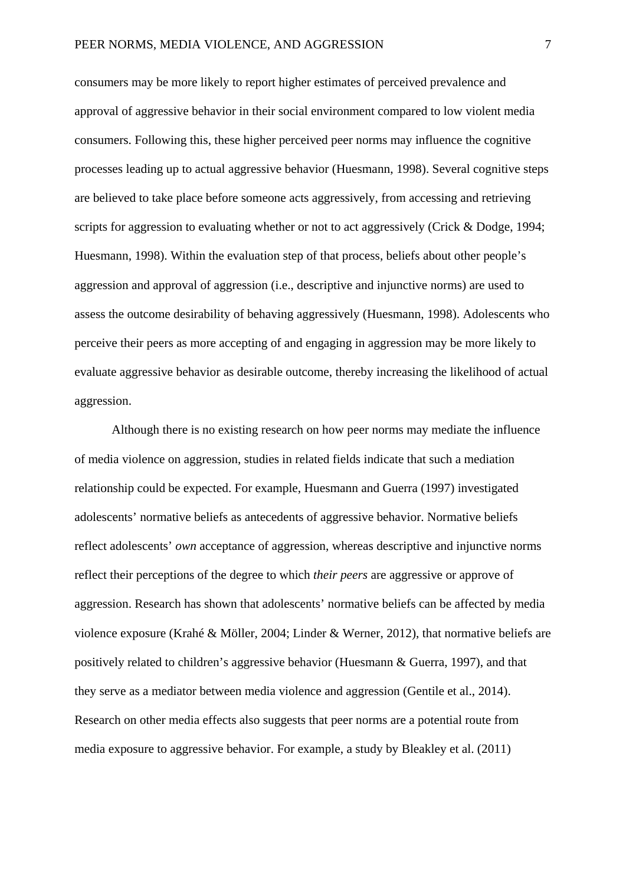consumers may be more likely to report higher estimates of perceived prevalence and approval of aggressive behavior in their social environment compared to low violent media consumers. Following this, these higher perceived peer norms may influence the cognitive processes leading up to actual aggressive behavior (Huesmann, 1998). Several cognitive steps are believed to take place before someone acts aggressively, from accessing and retrieving scripts for aggression to evaluating whether or not to act aggressively (Crick & Dodge, 1994; Huesmann, 1998). Within the evaluation step of that process, beliefs about other people's aggression and approval of aggression (i.e., descriptive and injunctive norms) are used to assess the outcome desirability of behaving aggressively (Huesmann, 1998). Adolescents who perceive their peers as more accepting of and engaging in aggression may be more likely to evaluate aggressive behavior as desirable outcome, thereby increasing the likelihood of actual aggression.

Although there is no existing research on how peer norms may mediate the influence of media violence on aggression, studies in related fields indicate that such a mediation relationship could be expected. For example, Huesmann and Guerra (1997) investigated adolescents' normative beliefs as antecedents of aggressive behavior. Normative beliefs reflect adolescents' *own* acceptance of aggression, whereas descriptive and injunctive norms reflect their perceptions of the degree to which *their peers* are aggressive or approve of aggression. Research has shown that adolescents' normative beliefs can be affected by media violence exposure (Krahé & Möller, 2004; Linder & Werner, 2012), that normative beliefs are positively related to children's aggressive behavior (Huesmann & Guerra, 1997), and that they serve as a mediator between media violence and aggression (Gentile et al., 2014). Research on other media effects also suggests that peer norms are a potential route from media exposure to aggressive behavior. For example, a study by Bleakley et al. (2011)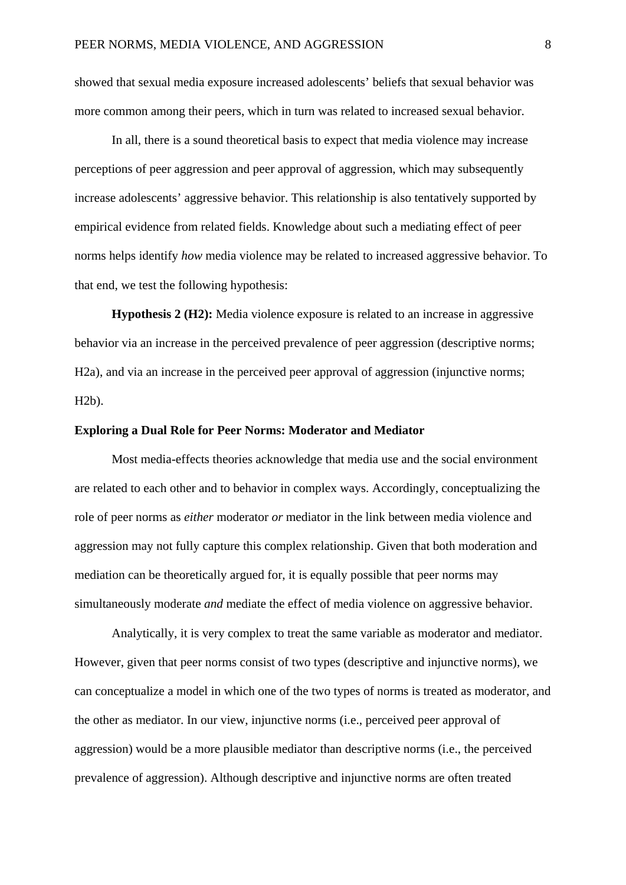showed that sexual media exposure increased adolescents' beliefs that sexual behavior was more common among their peers, which in turn was related to increased sexual behavior.

In all, there is a sound theoretical basis to expect that media violence may increase perceptions of peer aggression and peer approval of aggression, which may subsequently increase adolescents' aggressive behavior. This relationship is also tentatively supported by empirical evidence from related fields. Knowledge about such a mediating effect of peer norms helps identify *how* media violence may be related to increased aggressive behavior. To that end, we test the following hypothesis:

**Hypothesis 2 (H2):** Media violence exposure is related to an increase in aggressive behavior via an increase in the perceived prevalence of peer aggression (descriptive norms; H2a), and via an increase in the perceived peer approval of aggression (injunctive norms; H2b).

#### **Exploring a Dual Role for Peer Norms: Moderator and Mediator**

Most media-effects theories acknowledge that media use and the social environment are related to each other and to behavior in complex ways. Accordingly, conceptualizing the role of peer norms as *either* moderator *or* mediator in the link between media violence and aggression may not fully capture this complex relationship. Given that both moderation and mediation can be theoretically argued for, it is equally possible that peer norms may simultaneously moderate *and* mediate the effect of media violence on aggressive behavior.

Analytically, it is very complex to treat the same variable as moderator and mediator. However, given that peer norms consist of two types (descriptive and injunctive norms), we can conceptualize a model in which one of the two types of norms is treated as moderator, and the other as mediator. In our view, injunctive norms (i.e., perceived peer approval of aggression) would be a more plausible mediator than descriptive norms (i.e., the perceived prevalence of aggression). Although descriptive and injunctive norms are often treated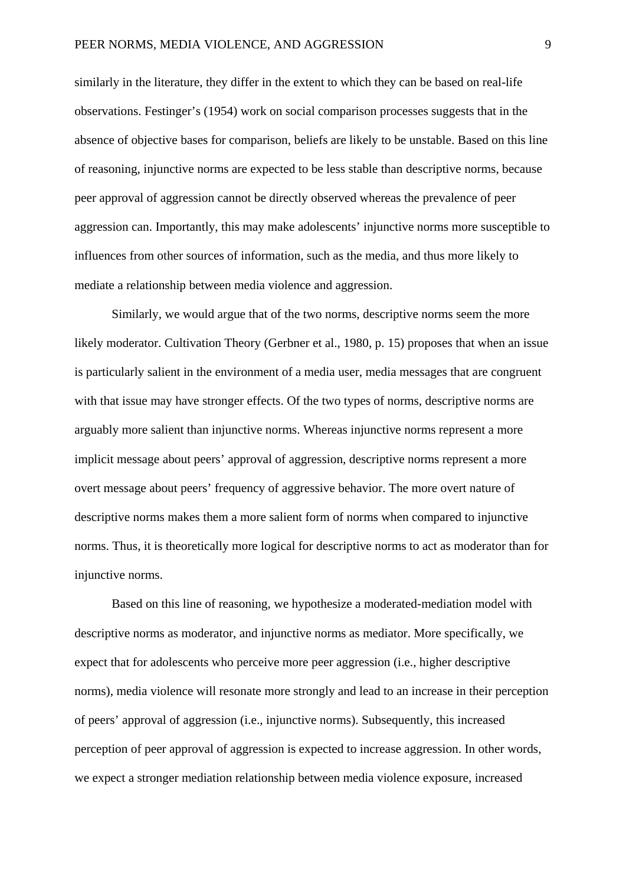similarly in the literature, they differ in the extent to which they can be based on real-life observations. Festinger's (1954) work on social comparison processes suggests that in the absence of objective bases for comparison, beliefs are likely to be unstable. Based on this line of reasoning, injunctive norms are expected to be less stable than descriptive norms, because peer approval of aggression cannot be directly observed whereas the prevalence of peer aggression can. Importantly, this may make adolescents' injunctive norms more susceptible to influences from other sources of information, such as the media, and thus more likely to mediate a relationship between media violence and aggression.

Similarly, we would argue that of the two norms, descriptive norms seem the more likely moderator. Cultivation Theory (Gerbner et al., 1980, p. 15) proposes that when an issue is particularly salient in the environment of a media user, media messages that are congruent with that issue may have stronger effects. Of the two types of norms, descriptive norms are arguably more salient than injunctive norms. Whereas injunctive norms represent a more implicit message about peers' approval of aggression, descriptive norms represent a more overt message about peers' frequency of aggressive behavior. The more overt nature of descriptive norms makes them a more salient form of norms when compared to injunctive norms. Thus, it is theoretically more logical for descriptive norms to act as moderator than for injunctive norms.

Based on this line of reasoning, we hypothesize a moderated-mediation model with descriptive norms as moderator, and injunctive norms as mediator. More specifically, we expect that for adolescents who perceive more peer aggression (i.e., higher descriptive norms), media violence will resonate more strongly and lead to an increase in their perception of peers' approval of aggression (i.e., injunctive norms). Subsequently, this increased perception of peer approval of aggression is expected to increase aggression. In other words, we expect a stronger mediation relationship between media violence exposure, increased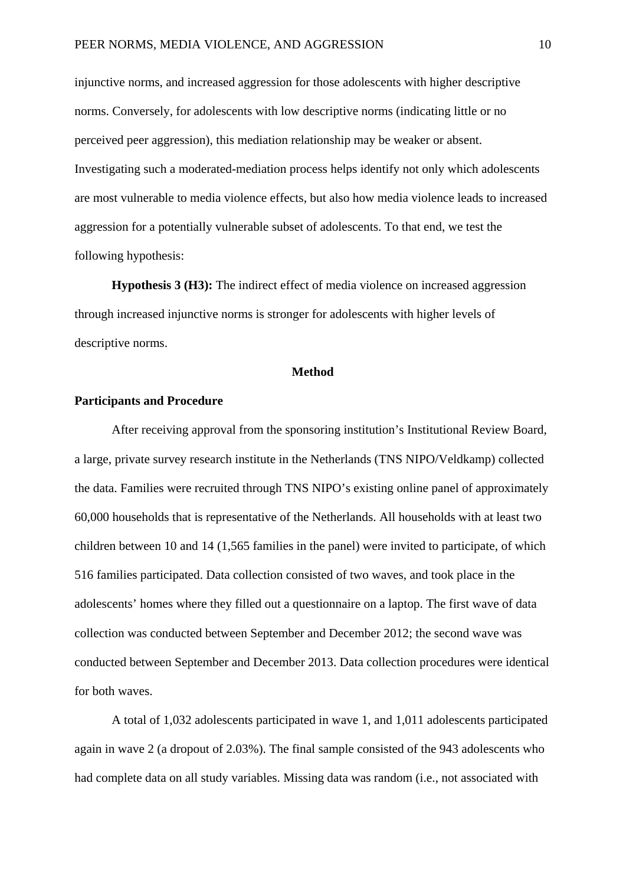injunctive norms, and increased aggression for those adolescents with higher descriptive norms. Conversely, for adolescents with low descriptive norms (indicating little or no perceived peer aggression), this mediation relationship may be weaker or absent. Investigating such a moderated-mediation process helps identify not only which adolescents are most vulnerable to media violence effects, but also how media violence leads to increased aggression for a potentially vulnerable subset of adolescents. To that end, we test the following hypothesis:

**Hypothesis 3 (H3):** The indirect effect of media violence on increased aggression through increased injunctive norms is stronger for adolescents with higher levels of descriptive norms.

#### **Method**

### **Participants and Procedure**

After receiving approval from the sponsoring institution's Institutional Review Board, a large, private survey research institute in the Netherlands (TNS NIPO/Veldkamp) collected the data. Families were recruited through TNS NIPO's existing online panel of approximately 60,000 households that is representative of the Netherlands. All households with at least two children between 10 and 14 (1,565 families in the panel) were invited to participate, of which 516 families participated. Data collection consisted of two waves, and took place in the adolescents' homes where they filled out a questionnaire on a laptop. The first wave of data collection was conducted between September and December 2012; the second wave was conducted between September and December 2013. Data collection procedures were identical for both waves.

A total of 1,032 adolescents participated in wave 1, and 1,011 adolescents participated again in wave 2 (a dropout of 2.03%). The final sample consisted of the 943 adolescents who had complete data on all study variables. Missing data was random (i.e., not associated with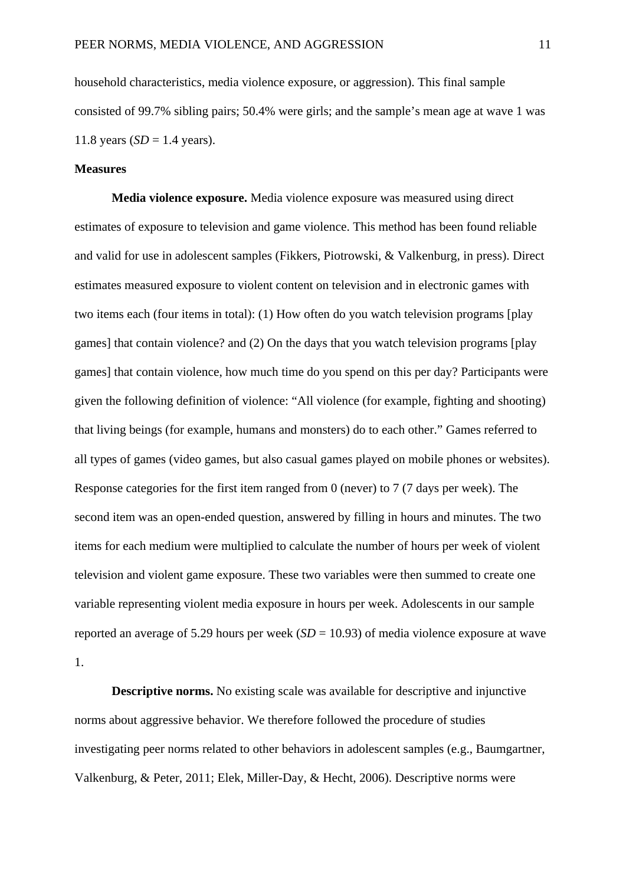household characteristics, media violence exposure, or aggression). This final sample consisted of 99.7% sibling pairs; 50.4% were girls; and the sample's mean age at wave 1 was 11.8 years  $(SD = 1.4$  years).

## **Measures**

**Media violence exposure.** Media violence exposure was measured using direct estimates of exposure to television and game violence. This method has been found reliable and valid for use in adolescent samples (Fikkers, Piotrowski, & Valkenburg, in press). Direct estimates measured exposure to violent content on television and in electronic games with two items each (four items in total): (1) How often do you watch television programs [play games] that contain violence? and (2) On the days that you watch television programs [play games] that contain violence, how much time do you spend on this per day? Participants were given the following definition of violence: "All violence (for example, fighting and shooting) that living beings (for example, humans and monsters) do to each other." Games referred to all types of games (video games, but also casual games played on mobile phones or websites). Response categories for the first item ranged from 0 (never) to 7 (7 days per week). The second item was an open-ended question, answered by filling in hours and minutes. The two items for each medium were multiplied to calculate the number of hours per week of violent television and violent game exposure. These two variables were then summed to create one variable representing violent media exposure in hours per week. Adolescents in our sample reported an average of 5.29 hours per week (*SD* = 10.93) of media violence exposure at wave 1.

**Descriptive norms.** No existing scale was available for descriptive and injunctive norms about aggressive behavior. We therefore followed the procedure of studies investigating peer norms related to other behaviors in adolescent samples (e.g., Baumgartner, Valkenburg, & Peter, 2011; Elek, Miller-Day, & Hecht, 2006). Descriptive norms were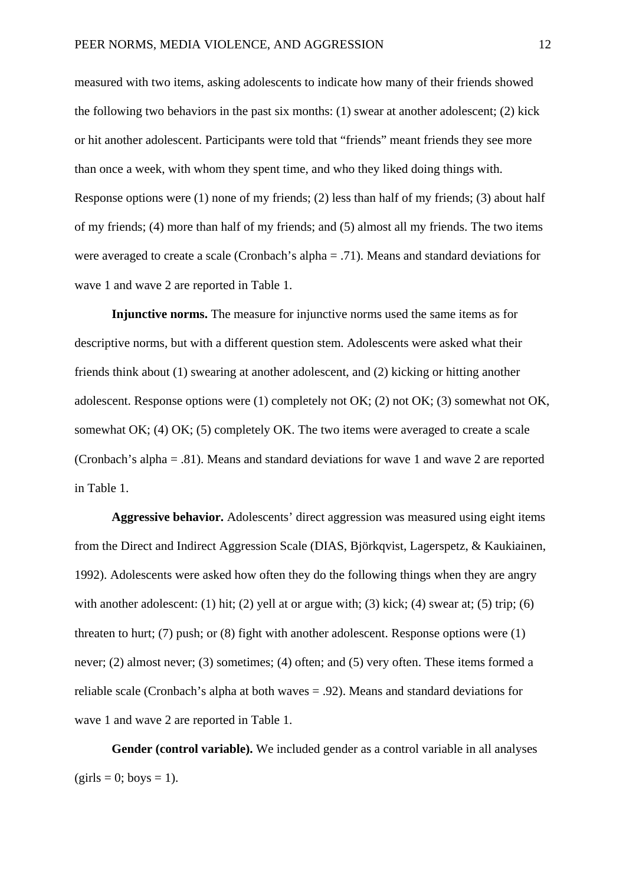measured with two items, asking adolescents to indicate how many of their friends showed the following two behaviors in the past six months: (1) swear at another adolescent; (2) kick or hit another adolescent. Participants were told that "friends" meant friends they see more than once a week, with whom they spent time, and who they liked doing things with. Response options were (1) none of my friends; (2) less than half of my friends; (3) about half of my friends; (4) more than half of my friends; and (5) almost all my friends. The two items were averaged to create a scale (Cronbach's alpha = .71). Means and standard deviations for wave 1 and wave 2 are reported in Table 1.

**Injunctive norms.** The measure for injunctive norms used the same items as for descriptive norms, but with a different question stem. Adolescents were asked what their friends think about (1) swearing at another adolescent, and (2) kicking or hitting another adolescent. Response options were (1) completely not OK; (2) not OK; (3) somewhat not OK, somewhat OK; (4) OK; (5) completely OK. The two items were averaged to create a scale (Cronbach's alpha = .81). Means and standard deviations for wave 1 and wave 2 are reported in Table 1.

**Aggressive behavior.** Adolescents' direct aggression was measured using eight items from the Direct and Indirect Aggression Scale (DIAS, Björkqvist, Lagerspetz, & Kaukiainen, 1992). Adolescents were asked how often they do the following things when they are angry with another adolescent: (1) hit; (2) yell at or argue with; (3) kick; (4) swear at; (5) trip; (6) threaten to hurt; (7) push; or (8) fight with another adolescent. Response options were (1) never; (2) almost never; (3) sometimes; (4) often; and (5) very often. These items formed a reliable scale (Cronbach's alpha at both waves = .92). Means and standard deviations for wave 1 and wave 2 are reported in Table 1.

**Gender (control variable).** We included gender as a control variable in all analyses  $(girls = 0; boys = 1).$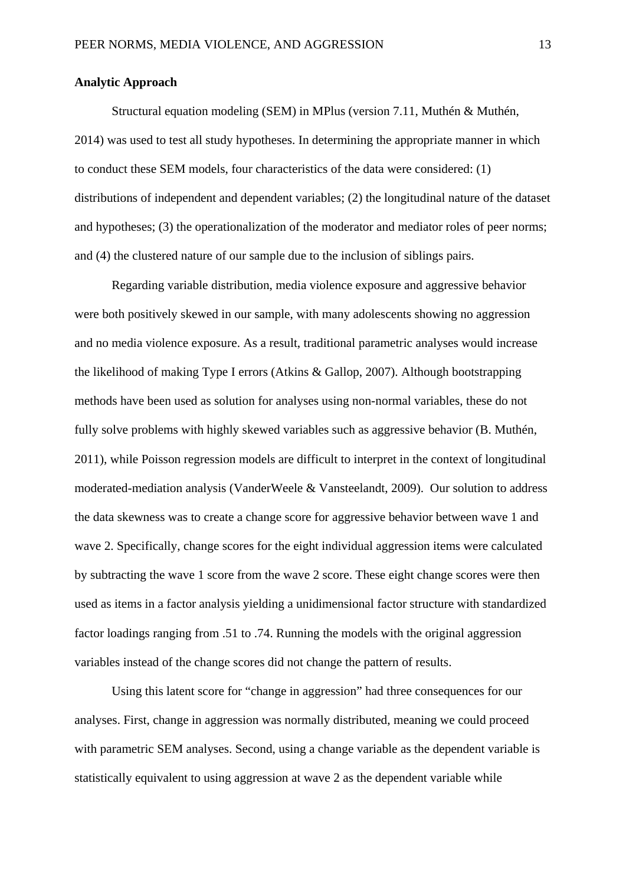### **Analytic Approach**

Structural equation modeling (SEM) in MPlus (version 7.11, Muthén & Muthén, 2014) was used to test all study hypotheses. In determining the appropriate manner in which to conduct these SEM models, four characteristics of the data were considered: (1) distributions of independent and dependent variables; (2) the longitudinal nature of the dataset and hypotheses; (3) the operationalization of the moderator and mediator roles of peer norms; and (4) the clustered nature of our sample due to the inclusion of siblings pairs.

Regarding variable distribution, media violence exposure and aggressive behavior were both positively skewed in our sample, with many adolescents showing no aggression and no media violence exposure. As a result, traditional parametric analyses would increase the likelihood of making Type I errors (Atkins & Gallop, 2007). Although bootstrapping methods have been used as solution for analyses using non-normal variables, these do not fully solve problems with highly skewed variables such as aggressive behavior (B. Muthén, 2011), while Poisson regression models are difficult to interpret in the context of longitudinal moderated-mediation analysis (VanderWeele & Vansteelandt, 2009). Our solution to address the data skewness was to create a change score for aggressive behavior between wave 1 and wave 2. Specifically, change scores for the eight individual aggression items were calculated by subtracting the wave 1 score from the wave 2 score. These eight change scores were then used as items in a factor analysis yielding a unidimensional factor structure with standardized factor loadings ranging from .51 to .74. Running the models with the original aggression variables instead of the change scores did not change the pattern of results.

Using this latent score for "change in aggression" had three consequences for our analyses. First, change in aggression was normally distributed, meaning we could proceed with parametric SEM analyses. Second, using a change variable as the dependent variable is statistically equivalent to using aggression at wave 2 as the dependent variable while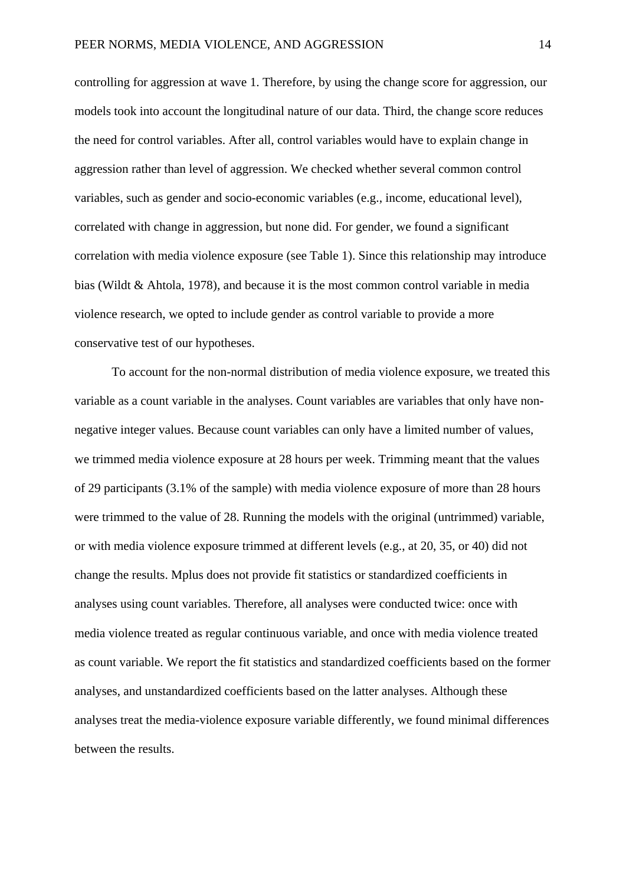controlling for aggression at wave 1. Therefore, by using the change score for aggression, our models took into account the longitudinal nature of our data. Third, the change score reduces the need for control variables. After all, control variables would have to explain change in aggression rather than level of aggression. We checked whether several common control variables, such as gender and socio-economic variables (e.g., income, educational level), correlated with change in aggression, but none did. For gender, we found a significant correlation with media violence exposure (see Table 1). Since this relationship may introduce bias (Wildt & Ahtola, 1978), and because it is the most common control variable in media violence research, we opted to include gender as control variable to provide a more conservative test of our hypotheses.

To account for the non-normal distribution of media violence exposure, we treated this variable as a count variable in the analyses. Count variables are variables that only have nonnegative integer values. Because count variables can only have a limited number of values, we trimmed media violence exposure at 28 hours per week. Trimming meant that the values of 29 participants (3.1% of the sample) with media violence exposure of more than 28 hours were trimmed to the value of 28. Running the models with the original (untrimmed) variable, or with media violence exposure trimmed at different levels (e.g., at 20, 35, or 40) did not change the results. Mplus does not provide fit statistics or standardized coefficients in analyses using count variables. Therefore, all analyses were conducted twice: once with media violence treated as regular continuous variable, and once with media violence treated as count variable. We report the fit statistics and standardized coefficients based on the former analyses, and unstandardized coefficients based on the latter analyses. Although these analyses treat the media-violence exposure variable differently, we found minimal differences between the results.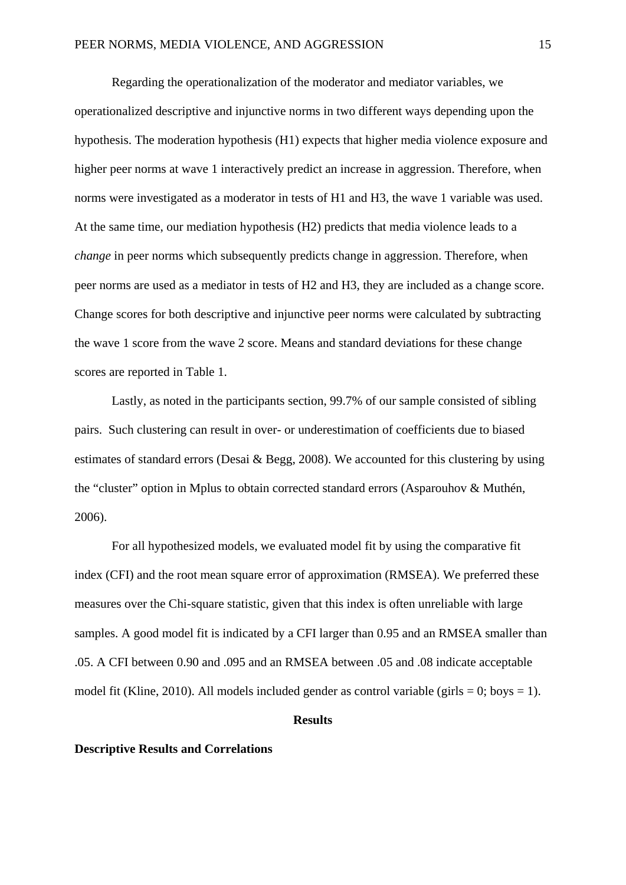Regarding the operationalization of the moderator and mediator variables, we operationalized descriptive and injunctive norms in two different ways depending upon the hypothesis. The moderation hypothesis (H1) expects that higher media violence exposure and higher peer norms at wave 1 interactively predict an increase in aggression. Therefore, when norms were investigated as a moderator in tests of H1 and H3, the wave 1 variable was used. At the same time, our mediation hypothesis (H2) predicts that media violence leads to a *change* in peer norms which subsequently predicts change in aggression. Therefore, when peer norms are used as a mediator in tests of H2 and H3, they are included as a change score. Change scores for both descriptive and injunctive peer norms were calculated by subtracting the wave 1 score from the wave 2 score. Means and standard deviations for these change scores are reported in Table 1.

Lastly, as noted in the participants section, 99.7% of our sample consisted of sibling pairs. Such clustering can result in over- or underestimation of coefficients due to biased estimates of standard errors (Desai & Begg, 2008). We accounted for this clustering by using the "cluster" option in Mplus to obtain corrected standard errors (Asparouhov & Muthén, 2006).

For all hypothesized models, we evaluated model fit by using the comparative fit index (CFI) and the root mean square error of approximation (RMSEA). We preferred these measures over the Chi-square statistic, given that this index is often unreliable with large samples. A good model fit is indicated by a CFI larger than 0.95 and an RMSEA smaller than .05. A CFI between 0.90 and .095 and an RMSEA between .05 and .08 indicate acceptable model fit (Kline, 2010). All models included gender as control variable (girls = 0; boys = 1).

### **Results**

### **Descriptive Results and Correlations**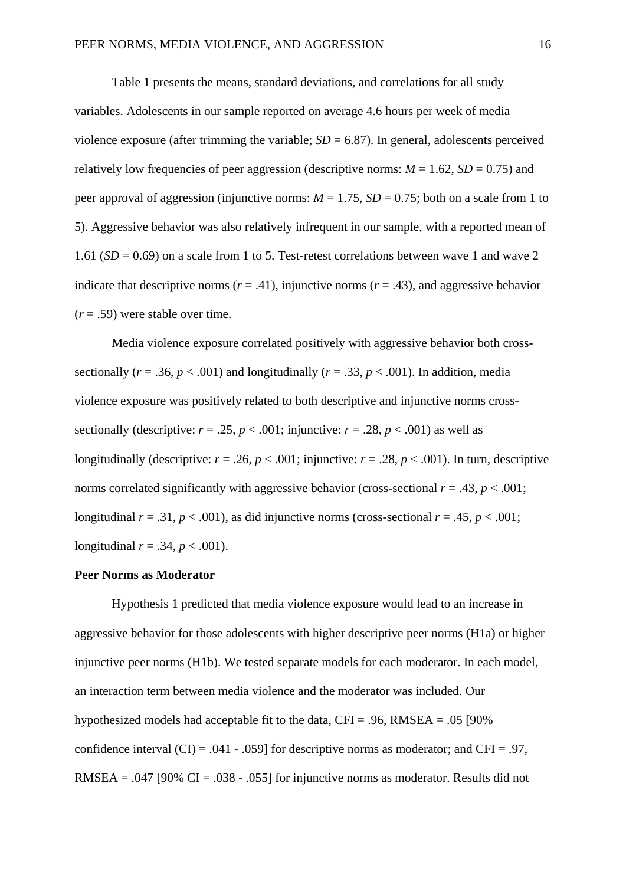Table 1 presents the means, standard deviations, and correlations for all study variables. Adolescents in our sample reported on average 4.6 hours per week of media violence exposure (after trimming the variable;  $SD = 6.87$ ). In general, adolescents perceived relatively low frequencies of peer aggression (descriptive norms:  $M = 1.62$ ,  $SD = 0.75$ ) and peer approval of aggression (injunctive norms:  $M = 1.75$ ,  $SD = 0.75$ ; both on a scale from 1 to 5). Aggressive behavior was also relatively infrequent in our sample, with a reported mean of 1.61 ( $SD = 0.69$ ) on a scale from 1 to 5. Test-retest correlations between wave 1 and wave 2 indicate that descriptive norms ( $r = .41$ ), injunctive norms ( $r = .43$ ), and aggressive behavior  $(r = .59)$  were stable over time.

 Media violence exposure correlated positively with aggressive behavior both crosssectionally ( $r = .36$ ,  $p < .001$ ) and longitudinally ( $r = .33$ ,  $p < .001$ ). In addition, media violence exposure was positively related to both descriptive and injunctive norms crosssectionally (descriptive:  $r = .25$ ,  $p < .001$ ; injunctive:  $r = .28$ ,  $p < .001$ ) as well as longitudinally (descriptive:  $r = .26$ ,  $p < .001$ ; injunctive:  $r = .28$ ,  $p < .001$ ). In turn, descriptive norms correlated significantly with aggressive behavior (cross-sectional  $r = .43$ ,  $p < .001$ ; longitudinal  $r = .31$ ,  $p < .001$ ), as did injunctive norms (cross-sectional  $r = .45$ ,  $p < .001$ ; longitudinal  $r = .34$ ,  $p < .001$ ).

### **Peer Norms as Moderator**

Hypothesis 1 predicted that media violence exposure would lead to an increase in aggressive behavior for those adolescents with higher descriptive peer norms (H1a) or higher injunctive peer norms (H1b). We tested separate models for each moderator. In each model, an interaction term between media violence and the moderator was included. Our hypothesized models had acceptable fit to the data,  $CFI = .96$ , RMSEA = .05 [90%] confidence interval (CI) = .041 - .059] for descriptive norms as moderator; and CFI = .97, RMSEA =  $.047$  [90% CI =  $.038 - .055$ ] for injunctive norms as moderator. Results did not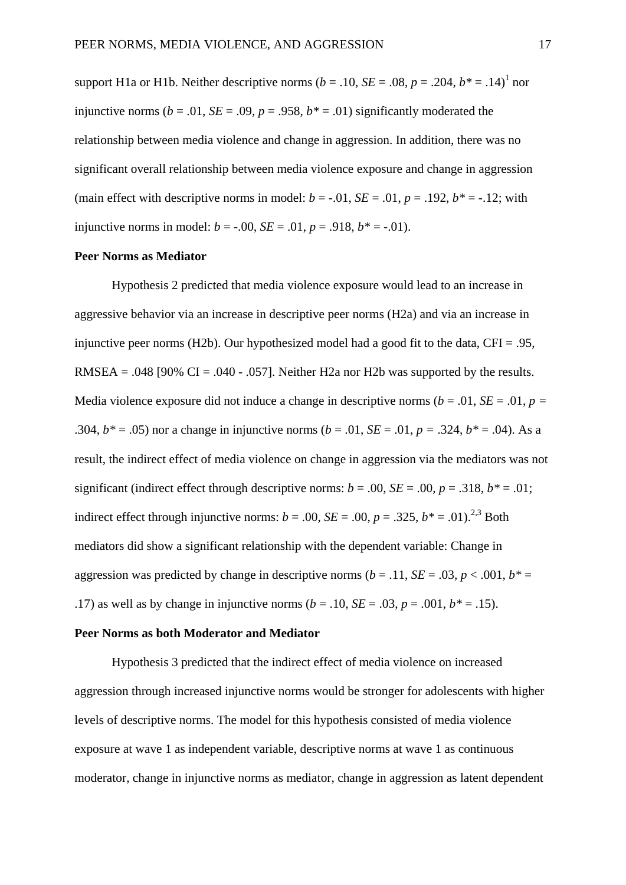support H1a or H1b. Neither descriptive norms ( $b = .10$ ,  $SE = .08$ ,  $p = .204$ ,  $b^* = .14$ )<sup>1</sup> nor injunctive norms ( $b = .01$ ,  $SE = .09$ ,  $p = .958$ ,  $b^* = .01$ ) significantly moderated the relationship between media violence and change in aggression. In addition, there was no significant overall relationship between media violence exposure and change in aggression (main effect with descriptive norms in model:  $b = -0.01$ ,  $SE = 0.01$ ,  $p = 0.192$ ,  $b^* = -0.12$ ; with injunctive norms in model:  $b = -.00$ ,  $SE = .01$ ,  $p = .918$ ,  $b^* = -.01$ ).

### **Peer Norms as Mediator**

Hypothesis 2 predicted that media violence exposure would lead to an increase in aggressive behavior via an increase in descriptive peer norms (H2a) and via an increase in injunctive peer norms (H2b). Our hypothesized model had a good fit to the data,  $CFI = .95$ , RMSEA = .048 [90% CI = .040 - .057]. Neither H2a nor H2b was supported by the results. Media violence exposure did not induce a change in descriptive norms ( $b = .01$ ,  $SE = .01$ ,  $p =$ .304,  $b^* = .05$ ) nor a change in injunctive norms ( $b = .01$ ,  $SE = .01$ ,  $p = .324$ ,  $b^* = .04$ ). As a result, the indirect effect of media violence on change in aggression via the mediators was not significant (indirect effect through descriptive norms:  $b = .00$ ,  $SE = .00$ ,  $p = .318$ ,  $b^* = .01$ ; indirect effect through injunctive norms:  $b = .00$ ,  $SE = .00$ ,  $p = .325$ ,  $b^* = .01$ ).<sup>2,3</sup> Both mediators did show a significant relationship with the dependent variable: Change in aggression was predicted by change in descriptive norms ( $b = .11$ ,  $SE = .03$ ,  $p < .001$ ,  $b^* =$ .17) as well as by change in injunctive norms  $(b = .10, SE = .03, p = .001, b* = .15)$ .

### **Peer Norms as both Moderator and Mediator**

 Hypothesis 3 predicted that the indirect effect of media violence on increased aggression through increased injunctive norms would be stronger for adolescents with higher levels of descriptive norms. The model for this hypothesis consisted of media violence exposure at wave 1 as independent variable, descriptive norms at wave 1 as continuous moderator, change in injunctive norms as mediator, change in aggression as latent dependent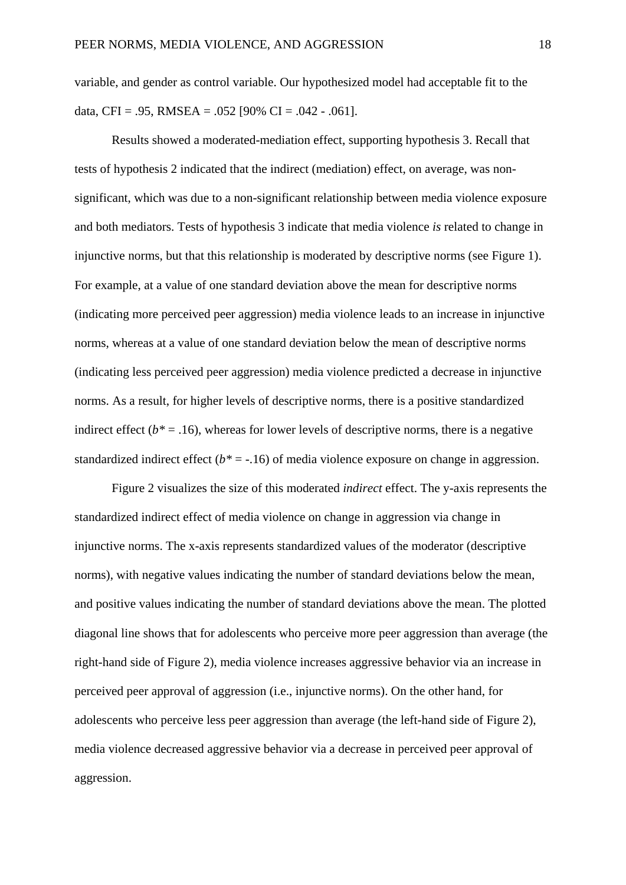variable, and gender as control variable. Our hypothesized model had acceptable fit to the data, CFI = .95, RMSEA = .052 [90% CI = .042 - .061].

 Results showed a moderated-mediation effect, supporting hypothesis 3. Recall that tests of hypothesis 2 indicated that the indirect (mediation) effect, on average, was nonsignificant, which was due to a non-significant relationship between media violence exposure and both mediators. Tests of hypothesis 3 indicate that media violence *is* related to change in injunctive norms, but that this relationship is moderated by descriptive norms (see Figure 1). For example, at a value of one standard deviation above the mean for descriptive norms (indicating more perceived peer aggression) media violence leads to an increase in injunctive norms, whereas at a value of one standard deviation below the mean of descriptive norms (indicating less perceived peer aggression) media violence predicted a decrease in injunctive norms. As a result, for higher levels of descriptive norms, there is a positive standardized indirect effect ( $b^*$  = .16), whereas for lower levels of descriptive norms, there is a negative standardized indirect effect  $(b^* = -16)$  of media violence exposure on change in aggression.

 Figure 2 visualizes the size of this moderated *indirect* effect. The y-axis represents the standardized indirect effect of media violence on change in aggression via change in injunctive norms. The x-axis represents standardized values of the moderator (descriptive norms), with negative values indicating the number of standard deviations below the mean, and positive values indicating the number of standard deviations above the mean. The plotted diagonal line shows that for adolescents who perceive more peer aggression than average (the right-hand side of Figure 2), media violence increases aggressive behavior via an increase in perceived peer approval of aggression (i.e., injunctive norms). On the other hand, for adolescents who perceive less peer aggression than average (the left-hand side of Figure 2), media violence decreased aggressive behavior via a decrease in perceived peer approval of aggression.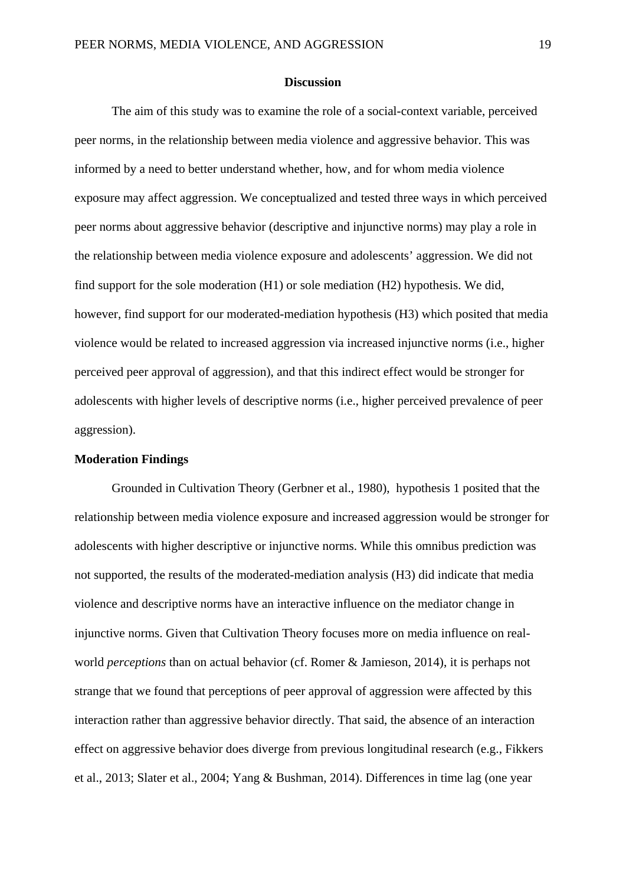### **Discussion**

 The aim of this study was to examine the role of a social-context variable, perceived peer norms, in the relationship between media violence and aggressive behavior. This was informed by a need to better understand whether, how, and for whom media violence exposure may affect aggression. We conceptualized and tested three ways in which perceived peer norms about aggressive behavior (descriptive and injunctive norms) may play a role in the relationship between media violence exposure and adolescents' aggression. We did not find support for the sole moderation (H1) or sole mediation (H2) hypothesis. We did, however, find support for our moderated-mediation hypothesis (H3) which posited that media violence would be related to increased aggression via increased injunctive norms (i.e., higher perceived peer approval of aggression), and that this indirect effect would be stronger for adolescents with higher levels of descriptive norms (i.e., higher perceived prevalence of peer aggression).

## **Moderation Findings**

 Grounded in Cultivation Theory (Gerbner et al., 1980), hypothesis 1 posited that the relationship between media violence exposure and increased aggression would be stronger for adolescents with higher descriptive or injunctive norms. While this omnibus prediction was not supported, the results of the moderated-mediation analysis (H3) did indicate that media violence and descriptive norms have an interactive influence on the mediator change in injunctive norms. Given that Cultivation Theory focuses more on media influence on realworld *perceptions* than on actual behavior (cf. Romer & Jamieson, 2014), it is perhaps not strange that we found that perceptions of peer approval of aggression were affected by this interaction rather than aggressive behavior directly. That said, the absence of an interaction effect on aggressive behavior does diverge from previous longitudinal research (e.g., Fikkers et al., 2013; Slater et al., 2004; Yang & Bushman, 2014). Differences in time lag (one year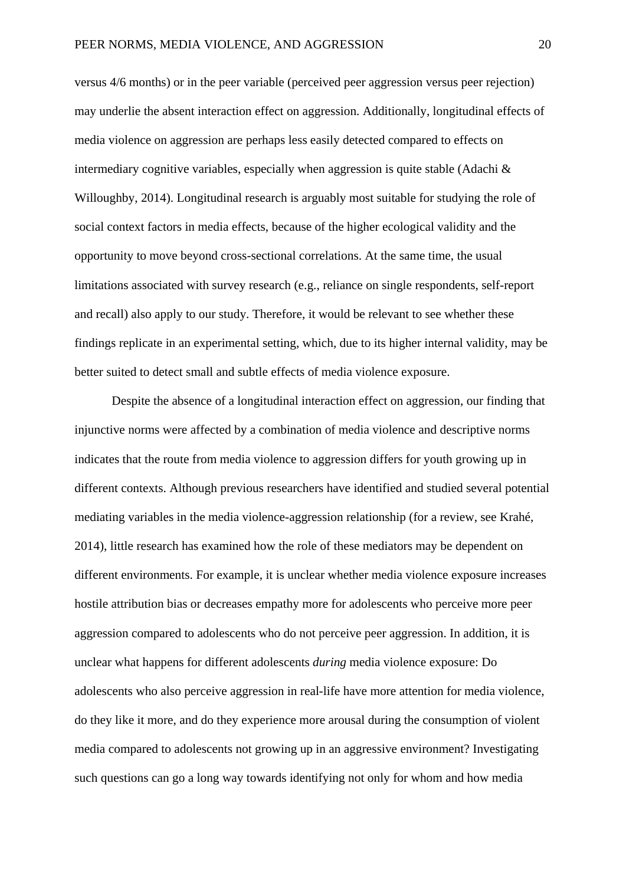versus 4/6 months) or in the peer variable (perceived peer aggression versus peer rejection) may underlie the absent interaction effect on aggression. Additionally, longitudinal effects of media violence on aggression are perhaps less easily detected compared to effects on intermediary cognitive variables, especially when aggression is quite stable (Adachi  $\&$ Willoughby, 2014). Longitudinal research is arguably most suitable for studying the role of social context factors in media effects, because of the higher ecological validity and the opportunity to move beyond cross-sectional correlations. At the same time, the usual limitations associated with survey research (e.g., reliance on single respondents, self-report and recall) also apply to our study. Therefore, it would be relevant to see whether these findings replicate in an experimental setting, which, due to its higher internal validity, may be better suited to detect small and subtle effects of media violence exposure.

 Despite the absence of a longitudinal interaction effect on aggression, our finding that injunctive norms were affected by a combination of media violence and descriptive norms indicates that the route from media violence to aggression differs for youth growing up in different contexts. Although previous researchers have identified and studied several potential mediating variables in the media violence-aggression relationship (for a review, see Krahé, 2014), little research has examined how the role of these mediators may be dependent on different environments. For example, it is unclear whether media violence exposure increases hostile attribution bias or decreases empathy more for adolescents who perceive more peer aggression compared to adolescents who do not perceive peer aggression. In addition, it is unclear what happens for different adolescents *during* media violence exposure: Do adolescents who also perceive aggression in real-life have more attention for media violence, do they like it more, and do they experience more arousal during the consumption of violent media compared to adolescents not growing up in an aggressive environment? Investigating such questions can go a long way towards identifying not only for whom and how media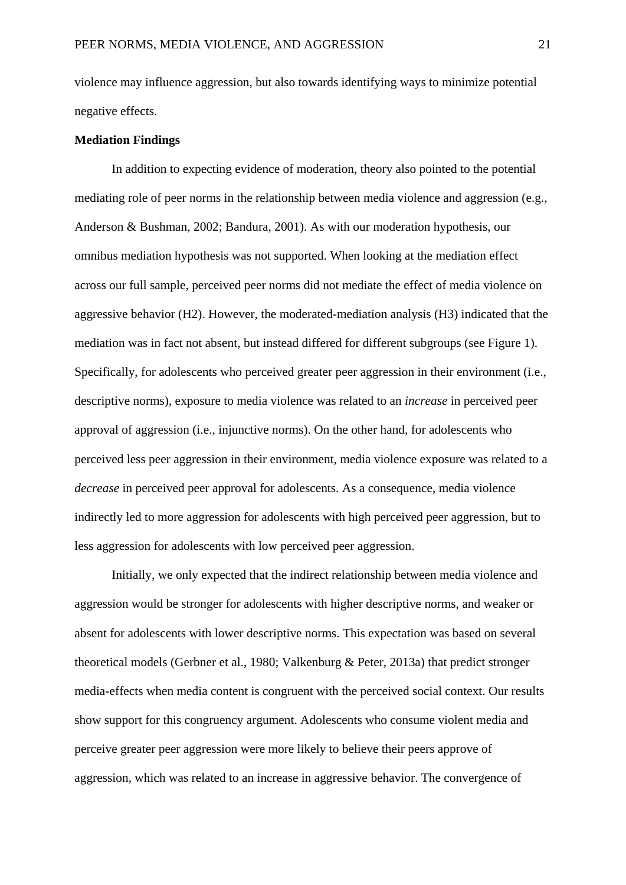violence may influence aggression, but also towards identifying ways to minimize potential negative effects.

### **Mediation Findings**

 In addition to expecting evidence of moderation, theory also pointed to the potential mediating role of peer norms in the relationship between media violence and aggression (e.g., Anderson & Bushman, 2002; Bandura, 2001). As with our moderation hypothesis, our omnibus mediation hypothesis was not supported. When looking at the mediation effect across our full sample, perceived peer norms did not mediate the effect of media violence on aggressive behavior (H2). However, the moderated-mediation analysis (H3) indicated that the mediation was in fact not absent, but instead differed for different subgroups (see Figure 1). Specifically, for adolescents who perceived greater peer aggression in their environment (i.e., descriptive norms), exposure to media violence was related to an *increase* in perceived peer approval of aggression (i.e., injunctive norms). On the other hand, for adolescents who perceived less peer aggression in their environment, media violence exposure was related to a *decrease* in perceived peer approval for adolescents. As a consequence, media violence indirectly led to more aggression for adolescents with high perceived peer aggression, but to less aggression for adolescents with low perceived peer aggression.

Initially, we only expected that the indirect relationship between media violence and aggression would be stronger for adolescents with higher descriptive norms, and weaker or absent for adolescents with lower descriptive norms. This expectation was based on several theoretical models (Gerbner et al., 1980; Valkenburg & Peter, 2013a) that predict stronger media-effects when media content is congruent with the perceived social context. Our results show support for this congruency argument. Adolescents who consume violent media and perceive greater peer aggression were more likely to believe their peers approve of aggression, which was related to an increase in aggressive behavior. The convergence of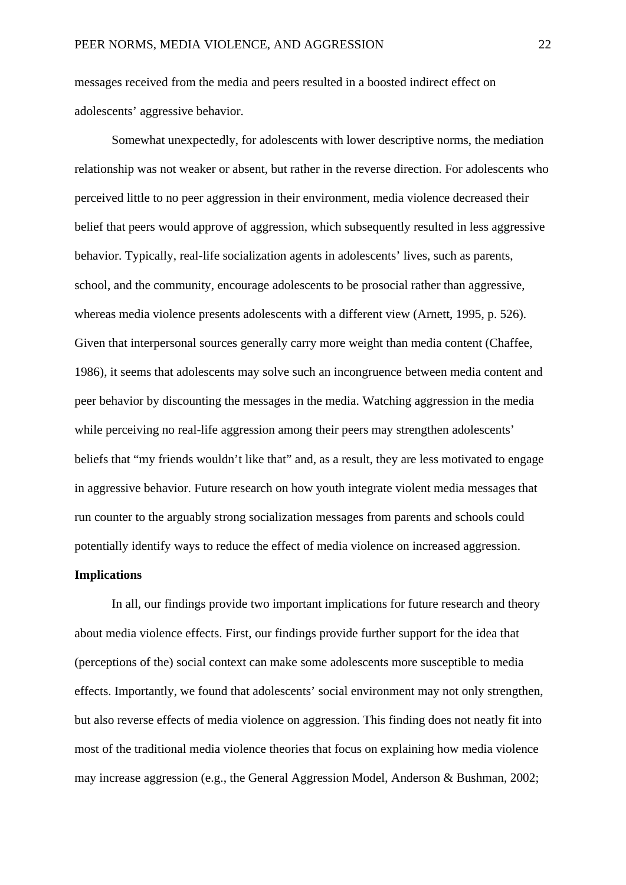messages received from the media and peers resulted in a boosted indirect effect on adolescents' aggressive behavior.

Somewhat unexpectedly, for adolescents with lower descriptive norms, the mediation relationship was not weaker or absent, but rather in the reverse direction. For adolescents who perceived little to no peer aggression in their environment, media violence decreased their belief that peers would approve of aggression, which subsequently resulted in less aggressive behavior. Typically, real-life socialization agents in adolescents' lives, such as parents, school, and the community, encourage adolescents to be prosocial rather than aggressive, whereas media violence presents adolescents with a different view (Arnett, 1995, p. 526). Given that interpersonal sources generally carry more weight than media content (Chaffee, 1986), it seems that adolescents may solve such an incongruence between media content and peer behavior by discounting the messages in the media. Watching aggression in the media while perceiving no real-life aggression among their peers may strengthen adolescents' beliefs that "my friends wouldn't like that" and, as a result, they are less motivated to engage in aggressive behavior. Future research on how youth integrate violent media messages that run counter to the arguably strong socialization messages from parents and schools could potentially identify ways to reduce the effect of media violence on increased aggression.

### **Implications**

In all, our findings provide two important implications for future research and theory about media violence effects. First, our findings provide further support for the idea that (perceptions of the) social context can make some adolescents more susceptible to media effects. Importantly, we found that adolescents' social environment may not only strengthen, but also reverse effects of media violence on aggression. This finding does not neatly fit into most of the traditional media violence theories that focus on explaining how media violence may increase aggression (e.g., the General Aggression Model, Anderson & Bushman, 2002;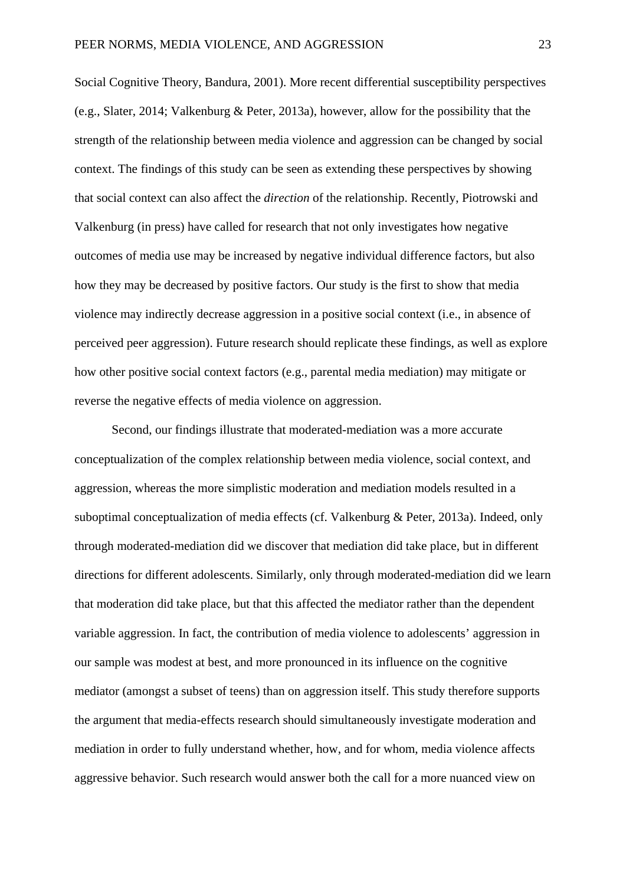Social Cognitive Theory, Bandura, 2001). More recent differential susceptibility perspectives (e.g., Slater, 2014; Valkenburg & Peter, 2013a), however, allow for the possibility that the strength of the relationship between media violence and aggression can be changed by social context. The findings of this study can be seen as extending these perspectives by showing that social context can also affect the *direction* of the relationship. Recently, Piotrowski and Valkenburg (in press) have called for research that not only investigates how negative outcomes of media use may be increased by negative individual difference factors, but also how they may be decreased by positive factors. Our study is the first to show that media violence may indirectly decrease aggression in a positive social context (i.e., in absence of perceived peer aggression). Future research should replicate these findings, as well as explore how other positive social context factors (e.g., parental media mediation) may mitigate or reverse the negative effects of media violence on aggression.

Second, our findings illustrate that moderated-mediation was a more accurate conceptualization of the complex relationship between media violence, social context, and aggression, whereas the more simplistic moderation and mediation models resulted in a suboptimal conceptualization of media effects (cf. Valkenburg & Peter, 2013a). Indeed, only through moderated-mediation did we discover that mediation did take place, but in different directions for different adolescents. Similarly, only through moderated-mediation did we learn that moderation did take place, but that this affected the mediator rather than the dependent variable aggression. In fact, the contribution of media violence to adolescents' aggression in our sample was modest at best, and more pronounced in its influence on the cognitive mediator (amongst a subset of teens) than on aggression itself. This study therefore supports the argument that media-effects research should simultaneously investigate moderation and mediation in order to fully understand whether, how, and for whom, media violence affects aggressive behavior. Such research would answer both the call for a more nuanced view on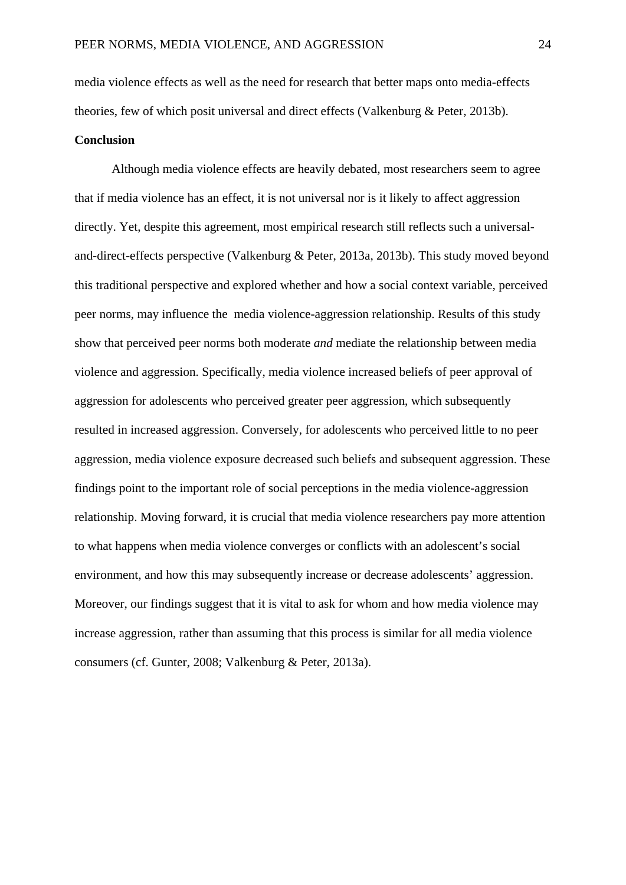media violence effects as well as the need for research that better maps onto media-effects theories, few of which posit universal and direct effects (Valkenburg & Peter, 2013b).

## **Conclusion**

Although media violence effects are heavily debated, most researchers seem to agree that if media violence has an effect, it is not universal nor is it likely to affect aggression directly. Yet, despite this agreement, most empirical research still reflects such a universaland-direct-effects perspective (Valkenburg & Peter, 2013a, 2013b). This study moved beyond this traditional perspective and explored whether and how a social context variable, perceived peer norms, may influence the media violence-aggression relationship. Results of this study show that perceived peer norms both moderate *and* mediate the relationship between media violence and aggression. Specifically, media violence increased beliefs of peer approval of aggression for adolescents who perceived greater peer aggression, which subsequently resulted in increased aggression. Conversely, for adolescents who perceived little to no peer aggression, media violence exposure decreased such beliefs and subsequent aggression. These findings point to the important role of social perceptions in the media violence-aggression relationship. Moving forward, it is crucial that media violence researchers pay more attention to what happens when media violence converges or conflicts with an adolescent's social environment, and how this may subsequently increase or decrease adolescents' aggression. Moreover, our findings suggest that it is vital to ask for whom and how media violence may increase aggression, rather than assuming that this process is similar for all media violence consumers (cf. Gunter, 2008; Valkenburg & Peter, 2013a).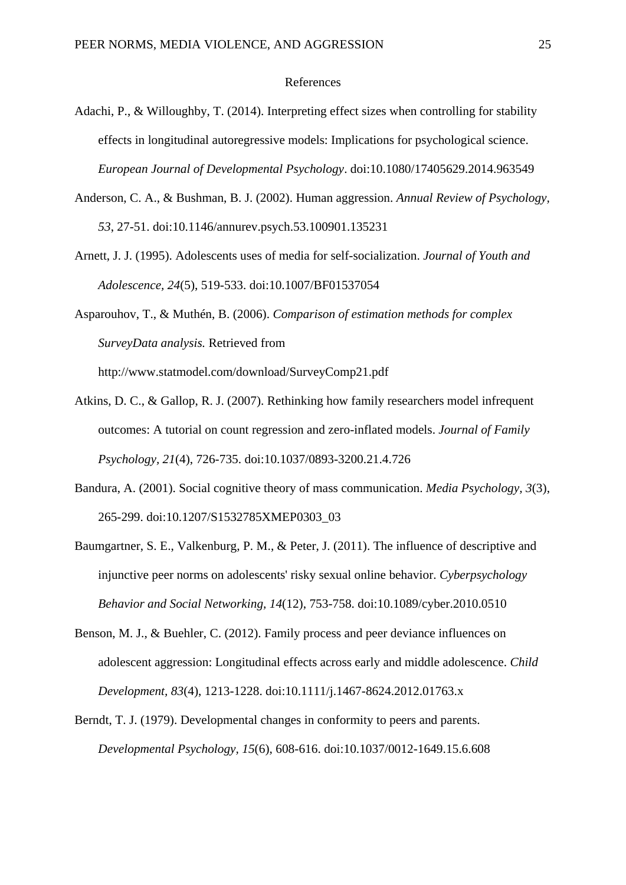#### References

- Adachi, P., & Willoughby, T. (2014). Interpreting effect sizes when controlling for stability effects in longitudinal autoregressive models: Implications for psychological science. *European Journal of Developmental Psychology*. doi:10.1080/17405629.2014.963549
- Anderson, C. A., & Bushman, B. J. (2002). Human aggression. *Annual Review of Psychology, 53*, 27-51. doi:10.1146/annurev.psych.53.100901.135231
- Arnett, J. J. (1995). Adolescents uses of media for self-socialization. *Journal of Youth and Adolescence, 24*(5), 519-533. doi:10.1007/BF01537054
- Asparouhov, T., & Muthén, B. (2006). *Comparison of estimation methods for complex SurveyData analysis.* Retrieved from http://www.statmodel.com/download/SurveyComp21.pdf
- Atkins, D. C., & Gallop, R. J. (2007). Rethinking how family researchers model infrequent outcomes: A tutorial on count regression and zero-inflated models. *Journal of Family Psychology, 21*(4), 726-735. doi:10.1037/0893-3200.21.4.726
- Bandura, A. (2001). Social cognitive theory of mass communication. *Media Psychology, 3*(3), 265-299. doi:10.1207/S1532785XMEP0303\_03
- Baumgartner, S. E., Valkenburg, P. M., & Peter, J. (2011). The influence of descriptive and injunctive peer norms on adolescents' risky sexual online behavior. *Cyberpsychology Behavior and Social Networking, 14*(12), 753-758. doi:10.1089/cyber.2010.0510
- Benson, M. J., & Buehler, C. (2012). Family process and peer deviance influences on adolescent aggression: Longitudinal effects across early and middle adolescence. *Child Development, 83*(4), 1213-1228. doi:10.1111/j.1467-8624.2012.01763.x
- Berndt, T. J. (1979). Developmental changes in conformity to peers and parents. *Developmental Psychology, 15*(6), 608-616. doi:10.1037/0012-1649.15.6.608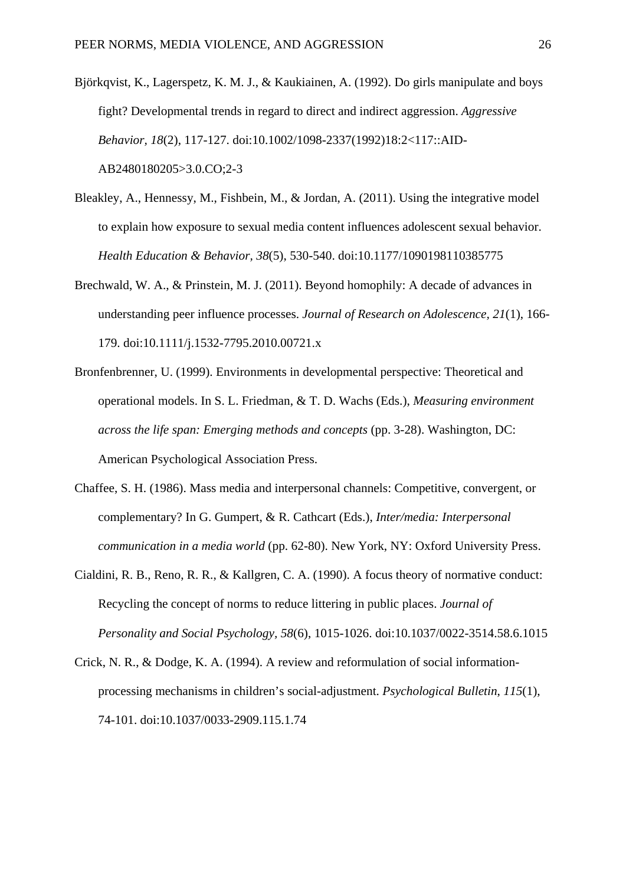- Björkqvist, K., Lagerspetz, K. M. J., & Kaukiainen, A. (1992). Do girls manipulate and boys fight? Developmental trends in regard to direct and indirect aggression. *Aggressive Behavior, 18*(2), 117-127. doi:10.1002/1098-2337(1992)18:2<117::AID-AB2480180205>3.0.CO;2-3
- Bleakley, A., Hennessy, M., Fishbein, M., & Jordan, A. (2011). Using the integrative model to explain how exposure to sexual media content influences adolescent sexual behavior. *Health Education & Behavior, 38*(5), 530-540. doi:10.1177/1090198110385775
- Brechwald, W. A., & Prinstein, M. J. (2011). Beyond homophily: A decade of advances in understanding peer influence processes. *Journal of Research on Adolescence, 21*(1), 166- 179. doi:10.1111/j.1532-7795.2010.00721.x
- Bronfenbrenner, U. (1999). Environments in developmental perspective: Theoretical and operational models. In S. L. Friedman, & T. D. Wachs (Eds.), *Measuring environment across the life span: Emerging methods and concepts* (pp. 3-28). Washington, DC: American Psychological Association Press.
- Chaffee, S. H. (1986). Mass media and interpersonal channels: Competitive, convergent, or complementary? In G. Gumpert, & R. Cathcart (Eds.), *Inter/media: Interpersonal communication in a media world* (pp. 62-80). New York, NY: Oxford University Press.
- Cialdini, R. B., Reno, R. R., & Kallgren, C. A. (1990). A focus theory of normative conduct: Recycling the concept of norms to reduce littering in public places. *Journal of Personality and Social Psychology, 58*(6), 1015-1026. doi:10.1037/0022-3514.58.6.1015
- Crick, N. R., & Dodge, K. A. (1994). A review and reformulation of social informationprocessing mechanisms in children's social-adjustment. *Psychological Bulletin*, *115*(1), 74-101. doi:10.1037/0033-2909.115.1.74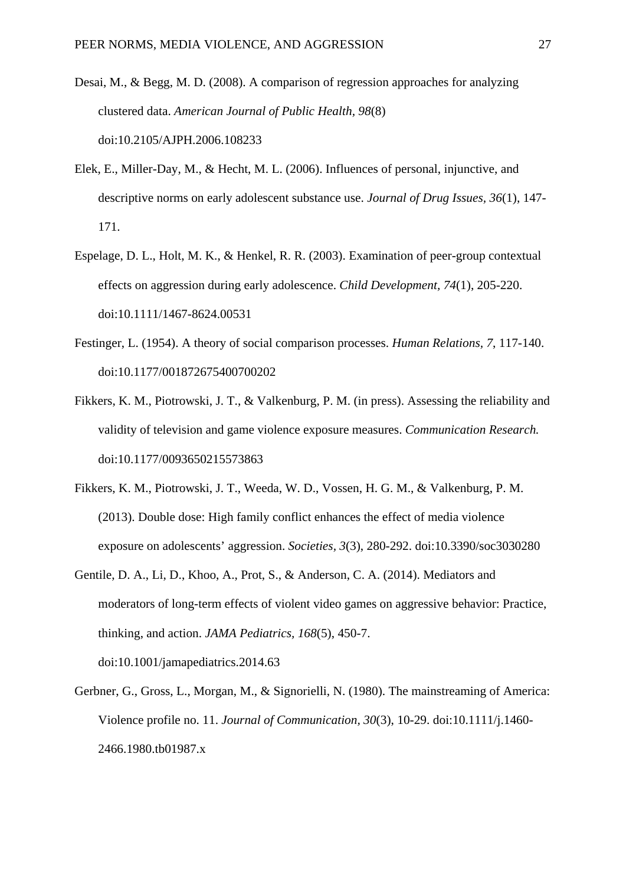- Desai, M., & Begg, M. D. (2008). A comparison of regression approaches for analyzing clustered data. *American Journal of Public Health, 98*(8) doi:10.2105/AJPH.2006.108233
- Elek, E., Miller-Day, M., & Hecht, M. L. (2006). Influences of personal, injunctive, and descriptive norms on early adolescent substance use. *Journal of Drug Issues, 36*(1), 147- 171.
- Espelage, D. L., Holt, M. K., & Henkel, R. R. (2003). Examination of peer-group contextual effects on aggression during early adolescence. *Child Development, 74*(1), 205-220. doi:10.1111/1467-8624.00531
- Festinger, L. (1954). A theory of social comparison processes. *Human Relations, 7*, 117-140. doi:10.1177/001872675400700202
- Fikkers, K. M., Piotrowski, J. T., & Valkenburg, P. M. (in press). Assessing the reliability and validity of television and game violence exposure measures. *Communication Research.*  doi:10.1177/0093650215573863
- Fikkers, K. M., Piotrowski, J. T., Weeda, W. D., Vossen, H. G. M., & Valkenburg, P. M. (2013). Double dose: High family conflict enhances the effect of media violence exposure on adolescents' aggression. *Societies, 3*(3), 280-292. doi:10.3390/soc3030280
- Gentile, D. A., Li, D., Khoo, A., Prot, S., & Anderson, C. A. (2014). Mediators and moderators of long-term effects of violent video games on aggressive behavior: Practice, thinking, and action. *JAMA Pediatrics, 168*(5), 450-7. doi:10.1001/jamapediatrics.2014.63
- Gerbner, G., Gross, L., Morgan, M., & Signorielli, N. (1980). The mainstreaming of America: Violence profile no. 11. *Journal of Communication, 30*(3), 10-29. doi:10.1111/j.1460- 2466.1980.tb01987.x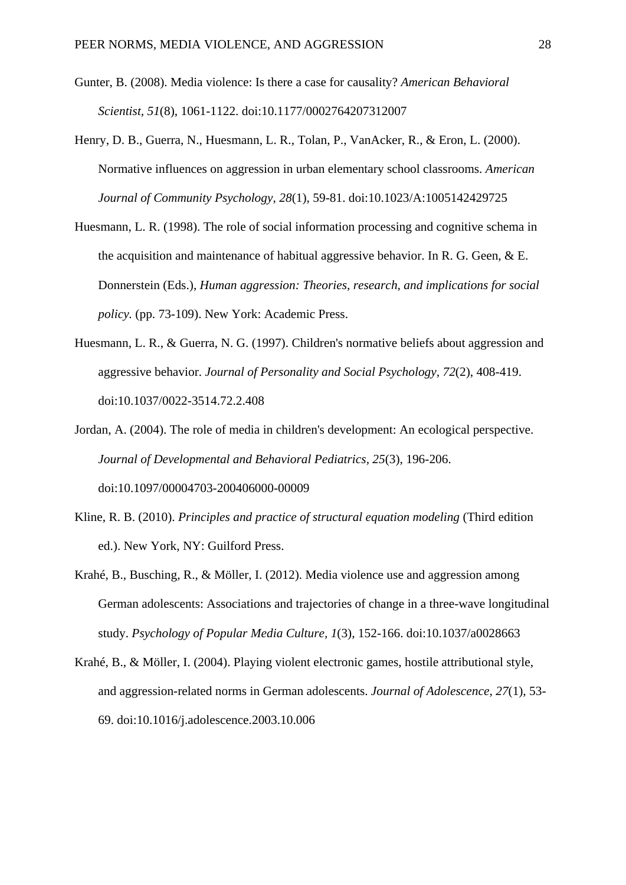- Gunter, B. (2008). Media violence: Is there a case for causality? *American Behavioral Scientist, 51*(8), 1061-1122. doi:10.1177/0002764207312007
- Henry, D. B., Guerra, N., Huesmann, L. R., Tolan, P., VanAcker, R., & Eron, L. (2000). Normative influences on aggression in urban elementary school classrooms. *American Journal of Community Psychology, 28*(1), 59-81. doi:10.1023/A:1005142429725
- Huesmann, L. R. (1998). The role of social information processing and cognitive schema in the acquisition and maintenance of habitual aggressive behavior. In R. G. Geen, & E. Donnerstein (Eds.), *Human aggression: Theories, research, and implications for social policy.* (pp. 73-109). New York: Academic Press.
- Huesmann, L. R., & Guerra, N. G. (1997). Children's normative beliefs about aggression and aggressive behavior. *Journal of Personality and Social Psychology, 72*(2), 408-419. doi:10.1037/0022-3514.72.2.408
- Jordan, A. (2004). The role of media in children's development: An ecological perspective. *Journal of Developmental and Behavioral Pediatrics, 25*(3), 196-206. doi:10.1097/00004703-200406000-00009
- Kline, R. B. (2010). *Principles and practice of structural equation modeling* (Third edition ed.). New York, NY: Guilford Press.
- Krahé, B., Busching, R., & Möller, I. (2012). Media violence use and aggression among German adolescents: Associations and trajectories of change in a three-wave longitudinal study. *Psychology of Popular Media Culture, 1*(3), 152-166. doi:10.1037/a0028663
- Krahé, B., & Möller, I. (2004). Playing violent electronic games, hostile attributional style, and aggression-related norms in German adolescents. *Journal of Adolescence, 27*(1), 53- 69. doi:10.1016/j.adolescence.2003.10.006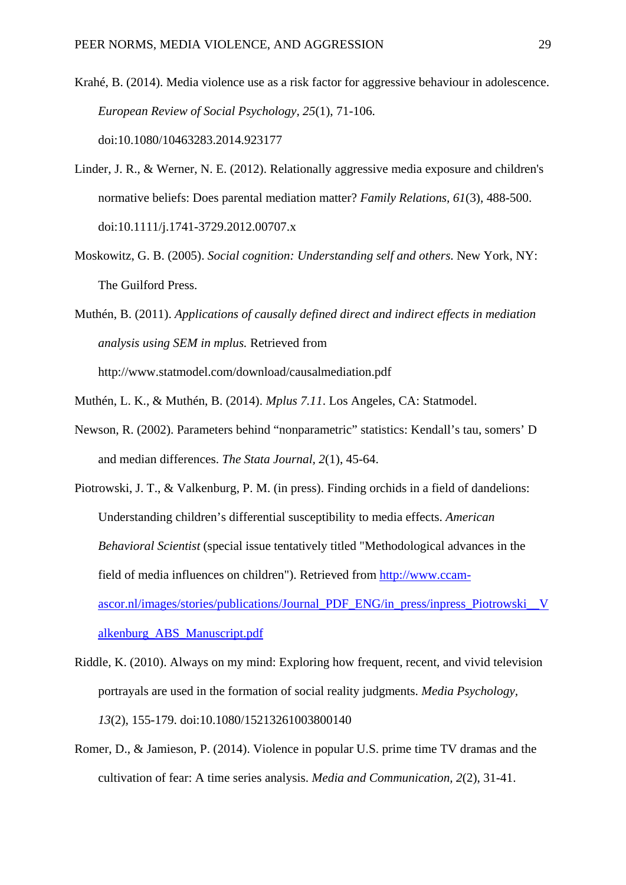- Krahé, B. (2014). Media violence use as a risk factor for aggressive behaviour in adolescence. *European Review of Social Psychology, 25*(1), 71-106. doi:10.1080/10463283.2014.923177
- Linder, J. R., & Werner, N. E. (2012). Relationally aggressive media exposure and children's normative beliefs: Does parental mediation matter? *Family Relations, 61*(3), 488-500. doi:10.1111/j.1741-3729.2012.00707.x
- Moskowitz, G. B. (2005). *Social cognition: Understanding self and others*. New York, NY: The Guilford Press.
- Muthén, B. (2011). *Applications of causally defined direct and indirect effects in mediation analysis using SEM in mplus.* Retrieved from http://www.statmodel.com/download/causalmediation.pdf
- Muthén, L. K., & Muthén, B. (2014). *Mplus 7.11*. Los Angeles, CA: Statmodel.
- Newson, R. (2002). Parameters behind "nonparametric" statistics: Kendall's tau, somers' D and median differences. *The Stata Journal, 2*(1), 45-64.
- Piotrowski, J. T., & Valkenburg, P. M. (in press). Finding orchids in a field of dandelions: Understanding children's differential susceptibility to media effects. *American Behavioral Scientist* (special issue tentatively titled "Methodological advances in the field of media influences on children"). Retrieved from http://www.ccamascor.nl/images/stories/publications/Journal\_PDF\_ENG/in\_press/inpress\_Piotrowski\_\_V alkenburg\_ABS\_Manuscript.pdf
- Riddle, K. (2010). Always on my mind: Exploring how frequent, recent, and vivid television portrayals are used in the formation of social reality judgments. *Media Psychology, 13*(2), 155-179. doi:10.1080/15213261003800140
- Romer, D., & Jamieson, P. (2014). Violence in popular U.S. prime time TV dramas and the cultivation of fear: A time series analysis. *Media and Communication, 2*(2), 31-41.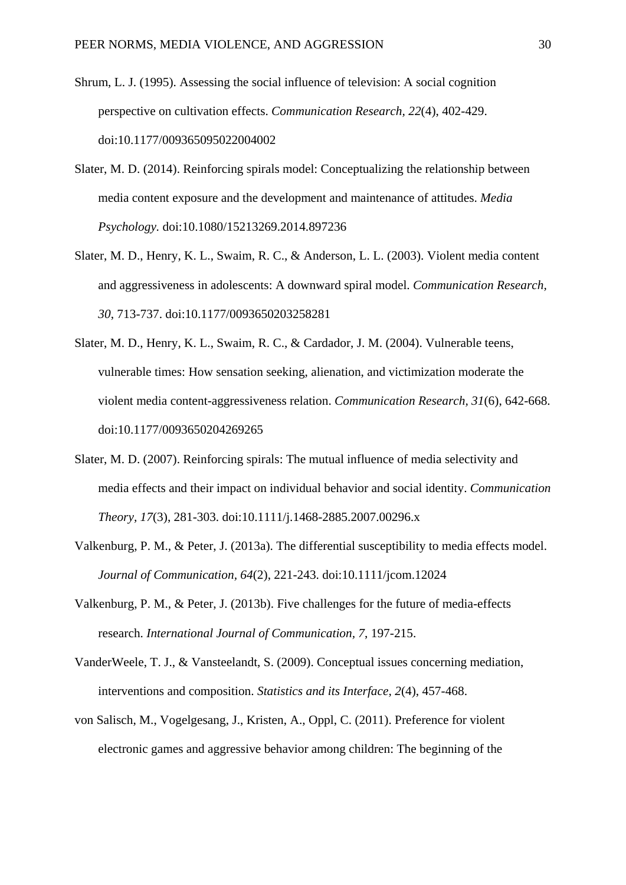- Shrum, L. J. (1995). Assessing the social influence of television: A social cognition perspective on cultivation effects. *Communication Research, 22*(4), 402-429. doi:10.1177/009365095022004002
- Slater, M. D. (2014). Reinforcing spirals model: Conceptualizing the relationship between media content exposure and the development and maintenance of attitudes. *Media Psychology.* doi:10.1080/15213269.2014.897236
- Slater, M. D., Henry, K. L., Swaim, R. C., & Anderson, L. L. (2003). Violent media content and aggressiveness in adolescents: A downward spiral model. *Communication Research, 30*, 713-737. doi:10.1177/0093650203258281
- Slater, M. D., Henry, K. L., Swaim, R. C., & Cardador, J. M. (2004). Vulnerable teens, vulnerable times: How sensation seeking, alienation, and victimization moderate the violent media content-aggressiveness relation. *Communication Research, 31*(6), 642-668. doi:10.1177/0093650204269265
- Slater, M. D. (2007). Reinforcing spirals: The mutual influence of media selectivity and media effects and their impact on individual behavior and social identity. *Communication Theory, 17*(3), 281-303. doi:10.1111/j.1468-2885.2007.00296.x
- Valkenburg, P. M., & Peter, J. (2013a). The differential susceptibility to media effects model. *Journal of Communication, 64*(2), 221-243. doi:10.1111/jcom.12024
- Valkenburg, P. M., & Peter, J. (2013b). Five challenges for the future of media-effects research. *International Journal of Communication, 7*, 197-215.
- VanderWeele, T. J., & Vansteelandt, S. (2009). Conceptual issues concerning mediation, interventions and composition. *Statistics and its Interface, 2*(4), 457-468.
- von Salisch, M., Vogelgesang, J., Kristen, A., Oppl, C. (2011). Preference for violent electronic games and aggressive behavior among children: The beginning of the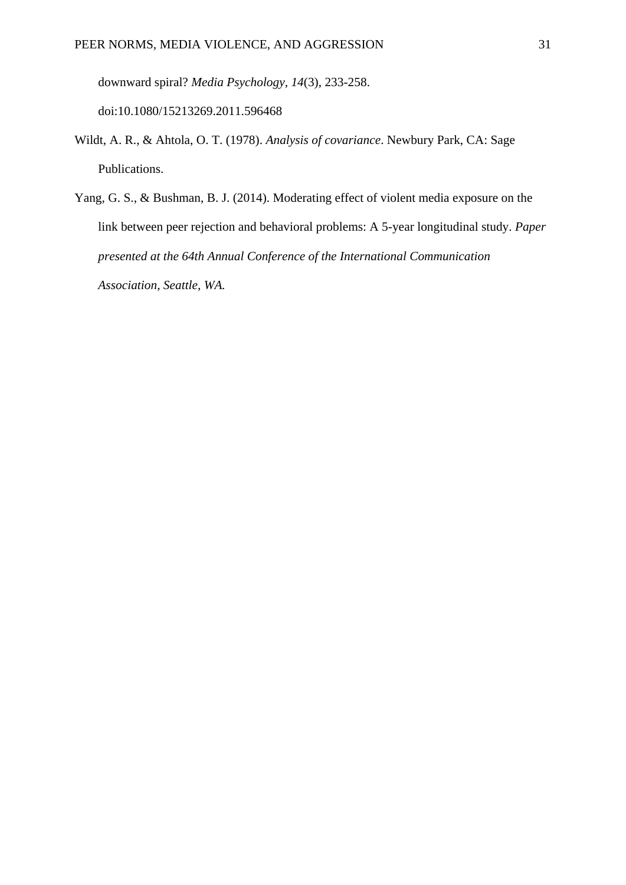downward spiral? *Media Psychology*, *14*(3), 233-258.

doi:10.1080/15213269.2011.596468

- Wildt, A. R., & Ahtola, O. T. (1978). *Analysis of covariance*. Newbury Park, CA: Sage Publications.
- Yang, G. S., & Bushman, B. J. (2014). Moderating effect of violent media exposure on the link between peer rejection and behavioral problems: A 5-year longitudinal study. *Paper presented at the 64th Annual Conference of the International Communication Association, Seattle, WA.*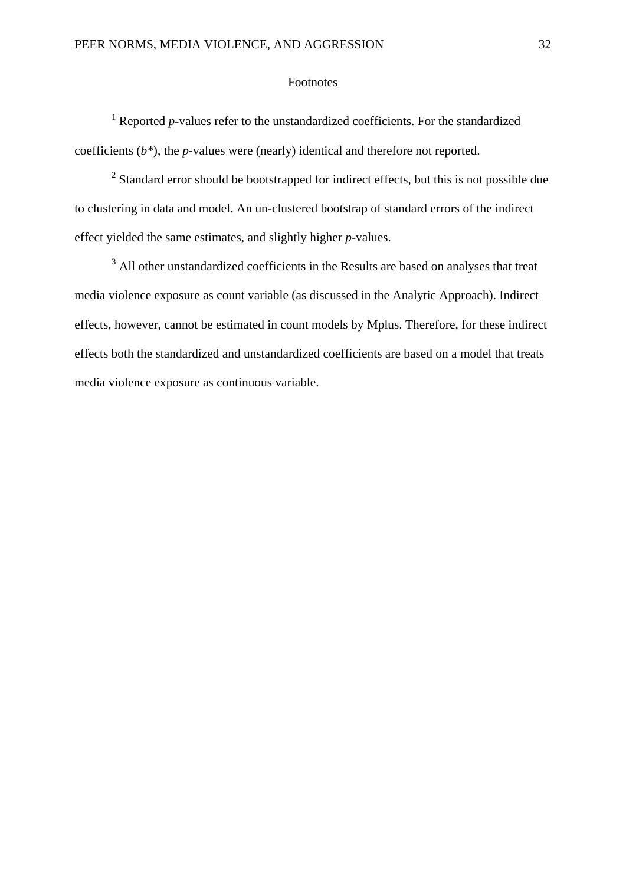### Footnotes

<sup>1</sup> Reported  $p$ -values refer to the unstandardized coefficients. For the standardized coefficients (*b\**), the *p*-values were (nearly) identical and therefore not reported.

 $2^2$  Standard error should be bootstrapped for indirect effects, but this is not possible due to clustering in data and model. An un-clustered bootstrap of standard errors of the indirect effect yielded the same estimates, and slightly higher *p*-values.

 $3$  All other unstandardized coefficients in the Results are based on analyses that treat media violence exposure as count variable (as discussed in the Analytic Approach). Indirect effects, however, cannot be estimated in count models by Mplus. Therefore, for these indirect effects both the standardized and unstandardized coefficients are based on a model that treats media violence exposure as continuous variable.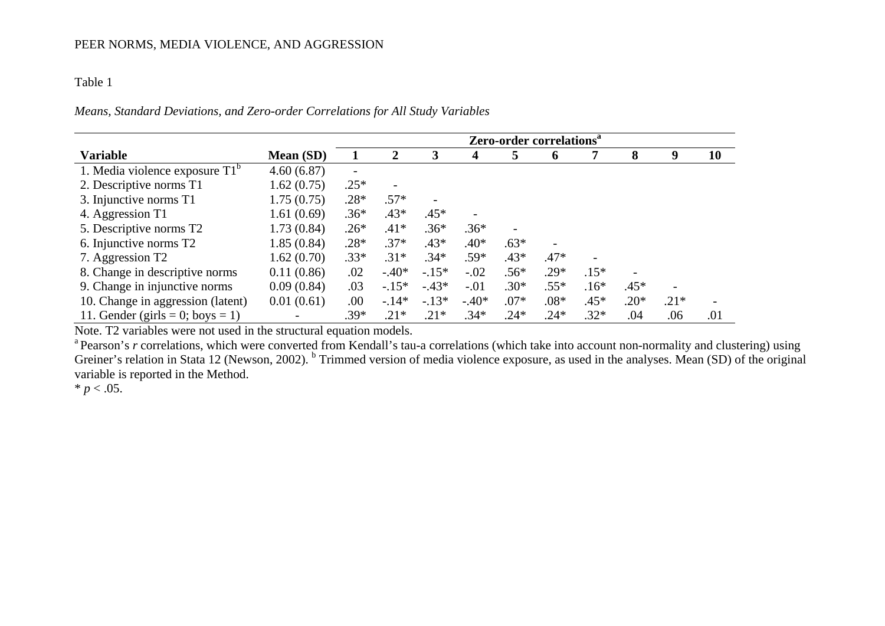### Table 1

*Means, Standard Deviations, and Zero-order Correlations for All Study Variables*

|                                    |                  | <b>Zero-order correlations<sup>a</sup></b> |         |         |                  |        |                          |        |        |        |     |
|------------------------------------|------------------|--------------------------------------------|---------|---------|------------------|--------|--------------------------|--------|--------|--------|-----|
| <b>Variable</b>                    | <b>Mean (SD)</b> |                                            | 2       | 3       | $\boldsymbol{4}$ | 5      | 6                        | 7      | 8      | 9      | 10  |
| 1. Media violence exposure $T1^b$  | 4.60(6.87)       | $\overline{\phantom{a}}$                   |         |         |                  |        |                          |        |        |        |     |
| 2. Descriptive norms T1            | 1.62(0.75)       | $.25*$                                     |         |         |                  |        |                          |        |        |        |     |
| 3. Injunctive norms T1             | 1.75(0.75)       | $.28*$                                     | $.57*$  |         |                  |        |                          |        |        |        |     |
| 4. Aggression T1                   | 1.61(0.69)       | $.36*$                                     | $.43*$  | $.45*$  |                  |        |                          |        |        |        |     |
| 5. Descriptive norms T2            | 1.73(0.84)       | $.26*$                                     | $.41*$  | $.36*$  | $.36*$           |        |                          |        |        |        |     |
| 6. Injunctive norms T <sub>2</sub> | 1.85(0.84)       | $.28*$                                     | $.37*$  | $.43*$  | $.40*$           | $.63*$ | $\overline{\phantom{a}}$ |        |        |        |     |
| 7. Aggression T2                   | 1.62(0.70)       | $.33*$                                     | $.31*$  | $.34*$  | $.59*$           | $.43*$ | $.47*$                   |        |        |        |     |
| 8. Change in descriptive norms     | 0.11(0.86)       | .02                                        | $-.40*$ | $-.15*$ | $-.02$           | $.56*$ | $.29*$                   | $.15*$ |        |        |     |
| 9. Change in injunctive norms      | 0.09(0.84)       | .03                                        | $-.15*$ | $-.43*$ | $-.01$           | $.30*$ | $.55*$                   | $.16*$ | $.45*$ |        |     |
| 10. Change in aggression (latent)  | 0.01(0.61)       | .00.                                       | $-14*$  | $-13*$  | $-.40*$          | $.07*$ | $.08*$                   | $.45*$ | $.20*$ | $.21*$ |     |
| 11. Gender (girls = 0; boys = 1)   |                  | $.39*$                                     | $.21*$  | $.21*$  | $.34*$           | $.24*$ | $.24*$                   | $.32*$ | .04    | .06    | .01 |

Note. T2 variables were not used in the structural equation models.

<sup>a</sup> Pearson's *r* correlations, which were converted from Kendall's tau-a correlations (which take into account non-normality and clustering) using Greiner's relation in Stata 12 (Newson, 2002). <sup>b</sup> Trimmed version of media violence exposure, as used in the analyses. Mean (SD) of the original variable is reported in the Method.

 $* p < .05.$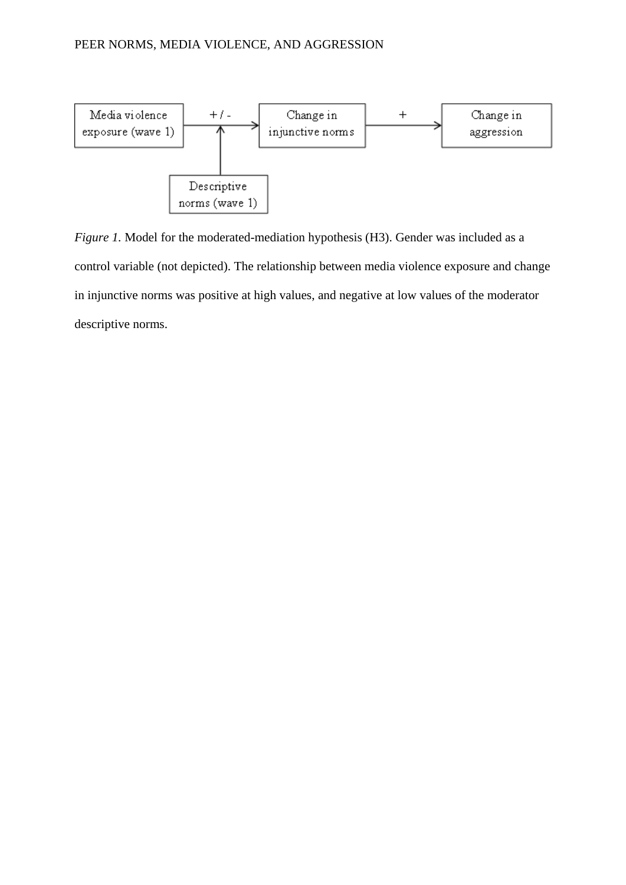

*Figure 1.* Model for the moderated-mediation hypothesis (H3). Gender was included as a control variable (not depicted). The relationship between media violence exposure and change in injunctive norms was positive at high values, and negative at low values of the moderator descriptive norms.